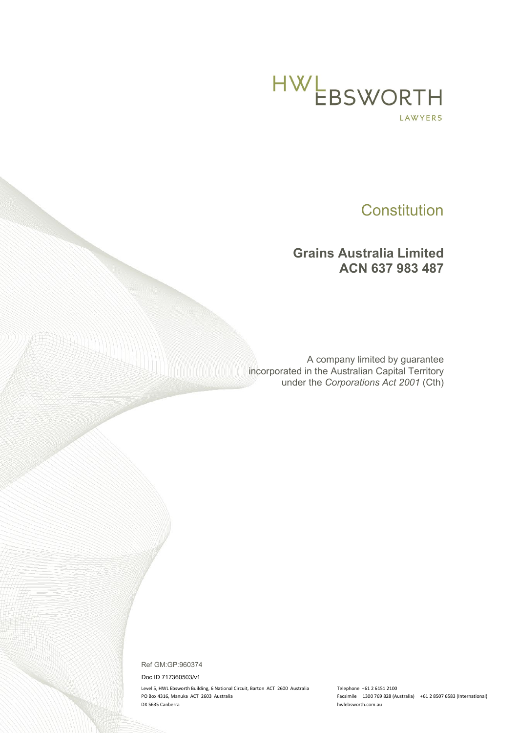

# **Constitution**

# **Grains Australia Limited ACN 637 983 487**

A company limited by guarantee incorporated in the Australian Capital Territory under the *Corporations Act 2001* (Cth)

Ref GM:GP:960374

Doc ID 717360503/v1

Level 5, HWL Ebsworth Building, 6 National Circuit, Barton ACT 2600 Australia Telephone +61 2 6151 2100 PO Box 4316, Manuka ACT 2603 Australia Facsimile 1300 769 828 (Australia) +61 2 8507 6583 (International) DX 5635 Canberra hwlebsworth.com.au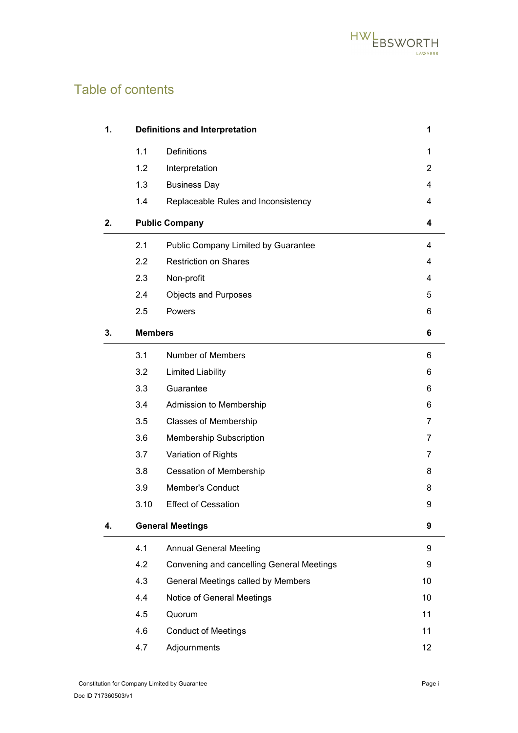

# Table of contents

| 1. |                         | <b>Definitions and Interpretation</b>     | 1              |
|----|-------------------------|-------------------------------------------|----------------|
|    | 1.1                     | <b>Definitions</b>                        | $\mathbf 1$    |
|    | 1.2                     | Interpretation                            | 2              |
|    | 1.3                     | <b>Business Day</b>                       | 4              |
|    | 1.4                     | Replaceable Rules and Inconsistency       | 4              |
| 2. | <b>Public Company</b>   |                                           | 4              |
|    | 2.1                     | Public Company Limited by Guarantee       | 4              |
|    | 2.2                     | <b>Restriction on Shares</b>              | 4              |
|    | 2.3                     | Non-profit                                | 4              |
|    | 2.4                     | <b>Objects and Purposes</b>               | 5              |
|    | 2.5                     | Powers                                    | 6              |
| 3. | <b>Members</b>          |                                           | 6              |
|    | 3.1                     | <b>Number of Members</b>                  | 6              |
|    | 3.2                     | <b>Limited Liability</b>                  | 6              |
|    | 3.3                     | Guarantee                                 | 6              |
|    | 3.4                     | Admission to Membership                   | 6              |
|    | 3.5                     | <b>Classes of Membership</b>              | 7              |
|    | 3.6                     | Membership Subscription                   | 7              |
|    | 3.7                     | Variation of Rights                       | $\overline{7}$ |
|    | 3.8                     | <b>Cessation of Membership</b>            | 8              |
|    | 3.9                     | <b>Member's Conduct</b>                   | 8              |
|    | 3.10                    | <b>Effect of Cessation</b>                | 9              |
| 4. | <b>General Meetings</b> |                                           | 9              |
|    | 4.1                     | <b>Annual General Meeting</b>             | 9              |
|    | 4.2                     | Convening and cancelling General Meetings | 9              |
|    | 4.3                     | General Meetings called by Members        | 10             |
|    | 4.4                     | Notice of General Meetings                | 10             |
|    | 4.5                     | Quorum                                    | 11             |
|    | 4.6                     | <b>Conduct of Meetings</b>                | 11             |
|    | 4.7                     | Adjournments                              | 12             |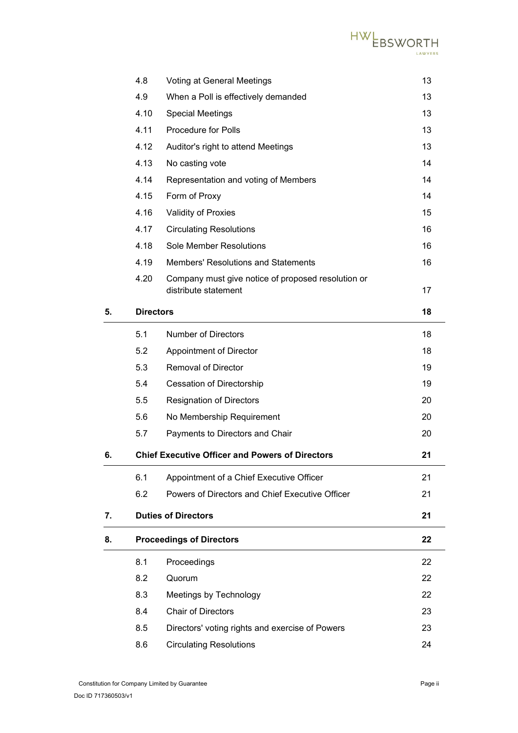

|    | 4.8              | <b>Voting at General Meetings</b>                      | 13 |
|----|------------------|--------------------------------------------------------|----|
|    | 4.9              | When a Poll is effectively demanded                    | 13 |
|    | 4.10             | <b>Special Meetings</b>                                | 13 |
|    | 4.11             | <b>Procedure for Polls</b>                             | 13 |
|    | 4.12             | Auditor's right to attend Meetings                     | 13 |
|    | 4.13             | No casting vote                                        | 14 |
|    | 4.14             | Representation and voting of Members                   | 14 |
|    | 4.15             | Form of Proxy                                          | 14 |
|    | 4.16             | Validity of Proxies                                    | 15 |
|    | 4.17             | <b>Circulating Resolutions</b>                         | 16 |
|    | 4.18             | <b>Sole Member Resolutions</b>                         | 16 |
|    | 4.19             | <b>Members' Resolutions and Statements</b>             | 16 |
|    | 4.20             | Company must give notice of proposed resolution or     |    |
|    |                  | distribute statement                                   | 17 |
| 5. | <b>Directors</b> |                                                        | 18 |
|    | 5.1              | <b>Number of Directors</b>                             | 18 |
|    | 5.2              | Appointment of Director                                | 18 |
|    | 5.3              | <b>Removal of Director</b>                             | 19 |
|    | 5.4              | Cessation of Directorship                              | 19 |
|    | 5.5              | <b>Resignation of Directors</b>                        | 20 |
|    | 5.6              | No Membership Requirement                              | 20 |
|    | 5.7              | Payments to Directors and Chair                        | 20 |
| 6. |                  | <b>Chief Executive Officer and Powers of Directors</b> | 21 |
|    | 6.1              | Appointment of a Chief Executive Officer               | 21 |
|    | 6.2              | Powers of Directors and Chief Executive Officer        | 21 |
| 7. |                  | <b>Duties of Directors</b>                             | 21 |
| 8. |                  | <b>Proceedings of Directors</b>                        | 22 |
|    | 8.1              | Proceedings                                            | 22 |
|    | 8.2              | Quorum                                                 | 22 |
|    | 8.3              | Meetings by Technology                                 | 22 |
|    | 8.4              | <b>Chair of Directors</b>                              | 23 |
|    | 8.5              | Directors' voting rights and exercise of Powers        | 23 |
|    | 8.6              | <b>Circulating Resolutions</b>                         | 24 |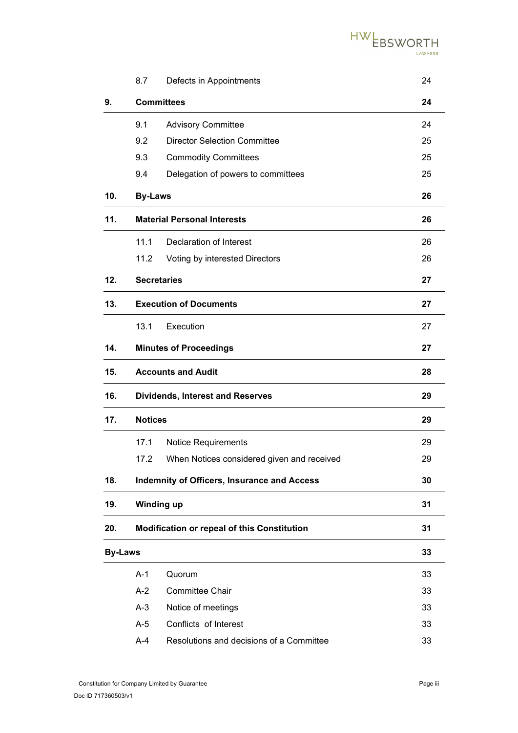

|                | 8.7                                | Defects in Appointments                            | 24 |
|----------------|------------------------------------|----------------------------------------------------|----|
| 9.             | <b>Committees</b>                  |                                                    |    |
|                | 9.1                                | <b>Advisory Committee</b>                          | 24 |
|                | 9.2                                | <b>Director Selection Committee</b>                | 25 |
|                | 9.3                                | <b>Commodity Committees</b>                        | 25 |
|                | 9.4                                | Delegation of powers to committees                 | 25 |
| 10.            | <b>By-Laws</b>                     |                                                    | 26 |
| 11.            | <b>Material Personal Interests</b> |                                                    | 26 |
|                | 11.1                               | <b>Declaration of Interest</b>                     | 26 |
|                | 11.2                               | Voting by interested Directors                     | 26 |
| 12.            |                                    | <b>Secretaries</b>                                 | 27 |
| 13.            | <b>Execution of Documents</b>      |                                                    | 27 |
|                | 13.1                               | Execution                                          | 27 |
| 14.            |                                    | <b>Minutes of Proceedings</b>                      | 27 |
| 15.            |                                    | <b>Accounts and Audit</b><br>28                    |    |
| 16.            |                                    | <b>Dividends, Interest and Reserves</b><br>29      |    |
| 17.            | <b>Notices</b>                     |                                                    | 29 |
|                | 17.1                               | <b>Notice Requirements</b>                         | 29 |
|                | 17.2                               | When Notices considered given and received         | 29 |
| 18.            |                                    | <b>Indemnity of Officers, Insurance and Access</b> | 30 |
| 19.            |                                    | <b>Winding up</b>                                  |    |
| 20.            |                                    | <b>Modification or repeal of this Constitution</b> | 31 |
| <b>By-Laws</b> |                                    |                                                    | 33 |
|                | $A-1$                              | Quorum                                             | 33 |
|                | $A-2$                              | <b>Committee Chair</b>                             | 33 |
|                | $A-3$                              | Notice of meetings                                 | 33 |
|                | $A-5$                              | Conflicts of Interest                              | 33 |
|                | $A-4$                              | Resolutions and decisions of a Committee           | 33 |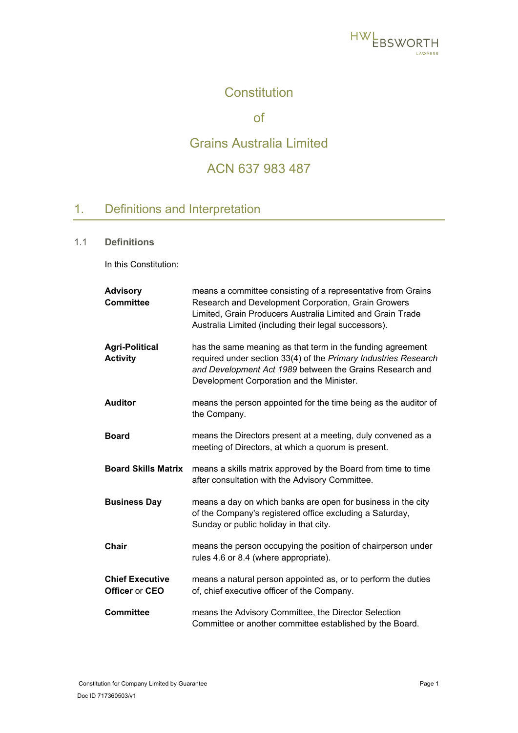

# **Constitution**

of

# Grains Australia Limited

# ACN 637 983 487

# <span id="page-4-0"></span>1. Definitions and Interpretation

### <span id="page-4-1"></span>1.1 **Definitions**

In this Constitution:

| <b>Advisory</b><br><b>Committee</b>      | means a committee consisting of a representative from Grains<br>Research and Development Corporation, Grain Growers<br>Limited, Grain Producers Australia Limited and Grain Trade<br>Australia Limited (including their legal successors). |
|------------------------------------------|--------------------------------------------------------------------------------------------------------------------------------------------------------------------------------------------------------------------------------------------|
| <b>Agri-Political</b><br><b>Activity</b> | has the same meaning as that term in the funding agreement<br>required under section 33(4) of the Primary Industries Research<br>and Development Act 1989 between the Grains Research and<br>Development Corporation and the Minister.     |
| <b>Auditor</b>                           | means the person appointed for the time being as the auditor of<br>the Company.                                                                                                                                                            |
| <b>Board</b>                             | means the Directors present at a meeting, duly convened as a<br>meeting of Directors, at which a quorum is present.                                                                                                                        |
| <b>Board Skills Matrix</b>               | means a skills matrix approved by the Board from time to time<br>after consultation with the Advisory Committee.                                                                                                                           |
| <b>Business Day</b>                      | means a day on which banks are open for business in the city<br>of the Company's registered office excluding a Saturday,<br>Sunday or public holiday in that city.                                                                         |
| <b>Chair</b>                             | means the person occupying the position of chairperson under<br>rules 4.6 or 8.4 (where appropriate).                                                                                                                                      |
| <b>Chief Executive</b><br>Officer or CEO | means a natural person appointed as, or to perform the duties<br>of, chief executive officer of the Company.                                                                                                                               |
| <b>Committee</b>                         | means the Advisory Committee, the Director Selection<br>Committee or another committee established by the Board.                                                                                                                           |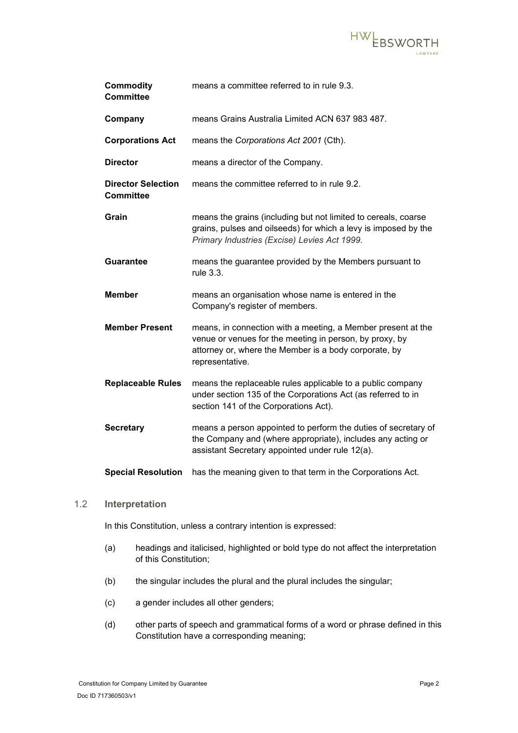

| <b>Commodity</b><br><b>Committee</b>          | means a committee referred to in rule 9.3.                                                                                                                                                          |
|-----------------------------------------------|-----------------------------------------------------------------------------------------------------------------------------------------------------------------------------------------------------|
| Company                                       | means Grains Australia Limited ACN 637 983 487.                                                                                                                                                     |
| <b>Corporations Act</b>                       | means the Corporations Act 2001 (Cth).                                                                                                                                                              |
| <b>Director</b>                               | means a director of the Company.                                                                                                                                                                    |
| <b>Director Selection</b><br><b>Committee</b> | means the committee referred to in rule 9.2.                                                                                                                                                        |
| Grain                                         | means the grains (including but not limited to cereals, coarse<br>grains, pulses and oilseeds) for which a levy is imposed by the<br>Primary Industries (Excise) Levies Act 1999.                   |
| <b>Guarantee</b>                              | means the guarantee provided by the Members pursuant to<br>rule 3.3.                                                                                                                                |
| <b>Member</b>                                 | means an organisation whose name is entered in the<br>Company's register of members.                                                                                                                |
| <b>Member Present</b>                         | means, in connection with a meeting, a Member present at the<br>venue or venues for the meeting in person, by proxy, by<br>attorney or, where the Member is a body corporate, by<br>representative. |
| <b>Replaceable Rules</b>                      | means the replaceable rules applicable to a public company<br>under section 135 of the Corporations Act (as referred to in<br>section 141 of the Corporations Act).                                 |
| <b>Secretary</b>                              | means a person appointed to perform the duties of secretary of<br>the Company and (where appropriate), includes any acting or<br>assistant Secretary appointed under rule 12(a).                    |
| <b>Special Resolution</b>                     | has the meaning given to that term in the Corporations Act.                                                                                                                                         |

### <span id="page-5-0"></span>1.2 **Interpretation**

In this Constitution, unless a contrary intention is expressed:

- (a) headings and italicised, highlighted or bold type do not affect the interpretation of this Constitution;
- (b) the singular includes the plural and the plural includes the singular;
- (c) a gender includes all other genders;
- (d) other parts of speech and grammatical forms of a word or phrase defined in this Constitution have a corresponding meaning;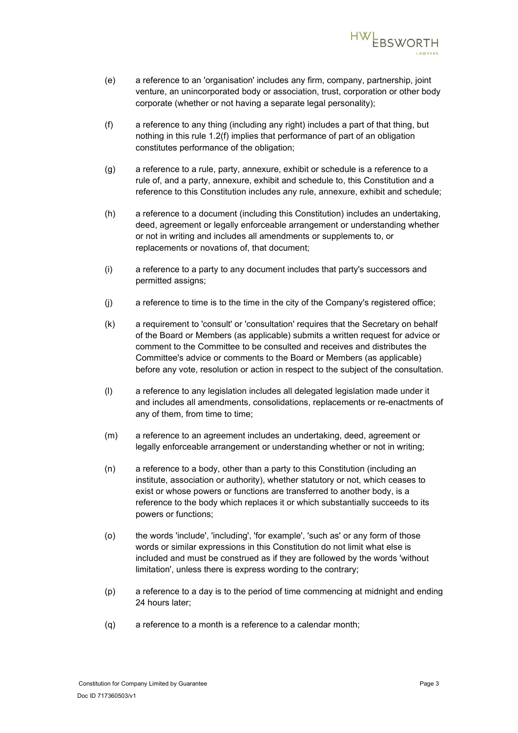

- (e) a reference to an 'organisation' includes any firm, company, partnership, joint venture, an unincorporated body or association, trust, corporation or other body corporate (whether or not having a separate legal personality);
- <span id="page-6-0"></span>(f) a reference to any thing (including any right) includes a part of that thing, but nothing in this rule [1.2\(f\)](#page-6-0) implies that performance of part of an obligation constitutes performance of the obligation;
- (g) a reference to a rule, party, annexure, exhibit or schedule is a reference to a rule of, and a party, annexure, exhibit and schedule to, this Constitution and a reference to this Constitution includes any rule, annexure, exhibit and schedule;
- (h) a reference to a document (including this Constitution) includes an undertaking, deed, agreement or legally enforceable arrangement or understanding whether or not in writing and includes all amendments or supplements to, or replacements or novations of, that document;
- (i) a reference to a party to any document includes that party's successors and permitted assigns;
- (j) a reference to time is to the time in the city of the Company's registered office;
- (k) a requirement to 'consult' or 'consultation' requires that the Secretary on behalf of the Board or Members (as applicable) submits a written request for advice or comment to the Committee to be consulted and receives and distributes the Committee's advice or comments to the Board or Members (as applicable) before any vote, resolution or action in respect to the subject of the consultation.
- (l) a reference to any legislation includes all delegated legislation made under it and includes all amendments, consolidations, replacements or re-enactments of any of them, from time to time;
- (m) a reference to an agreement includes an undertaking, deed, agreement or legally enforceable arrangement or understanding whether or not in writing;
- (n) a reference to a body, other than a party to this Constitution (including an institute, association or authority), whether statutory or not, which ceases to exist or whose powers or functions are transferred to another body, is a reference to the body which replaces it or which substantially succeeds to its powers or functions;
- (o) the words 'include', 'including', 'for example', 'such as' or any form of those words or similar expressions in this Constitution do not limit what else is included and must be construed as if they are followed by the words 'without limitation', unless there is express wording to the contrary;
- (p) a reference to a day is to the period of time commencing at midnight and ending 24 hours later;
- (q) a reference to a month is a reference to a calendar month;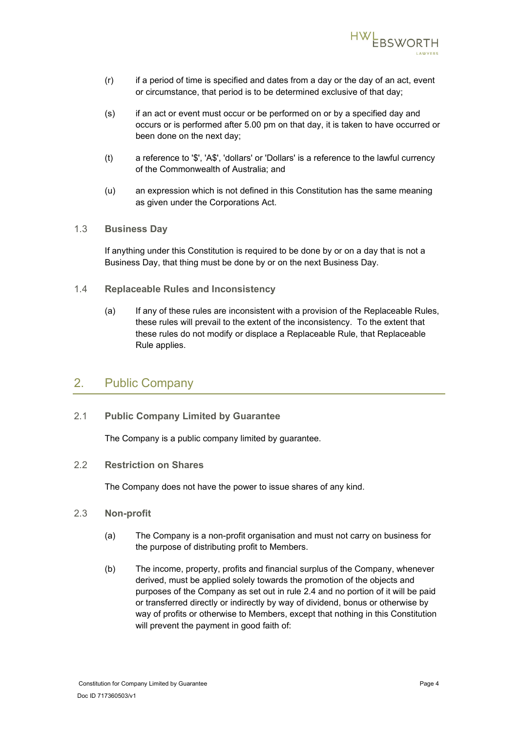

- (r) if a period of time is specified and dates from a day or the day of an act, event or circumstance, that period is to be determined exclusive of that day;
- (s) if an act or event must occur or be performed on or by a specified day and occurs or is performed after 5.00 pm on that day, it is taken to have occurred or been done on the next day;
- (t) a reference to '\$', 'A\$', 'dollars' or 'Dollars' is a reference to the lawful currency of the Commonwealth of Australia; and
- (u) an expression which is not defined in this Constitution has the same meaning as given under the Corporations Act.

### <span id="page-7-0"></span>1.3 **Business Day**

If anything under this Constitution is required to be done by or on a day that is not a Business Day, that thing must be done by or on the next Business Day.

- <span id="page-7-1"></span>1.4 **Replaceable Rules and Inconsistency**
	- (a) If any of these rules are inconsistent with a provision of the Replaceable Rules, these rules will prevail to the extent of the inconsistency. To the extent that these rules do not modify or displace a Replaceable Rule, that Replaceable Rule applies.

# <span id="page-7-2"></span>2. Public Company

<span id="page-7-3"></span>2.1 **Public Company Limited by Guarantee**

The Company is a public company limited by guarantee.

<span id="page-7-4"></span>2.2 **Restriction on Shares**

The Company does not have the power to issue shares of any kind.

- <span id="page-7-5"></span>2.3 **Non-profit**
	- (a) The Company is a non-profit organisation and must not carry on business for the purpose of distributing profit to Members.
	- (b) The income, property, profits and financial surplus of the Company, whenever derived, must be applied solely towards the promotion of the objects and purposes of the Company as set out in rule [2.4](#page-8-0) and no portion of it will be paid or transferred directly or indirectly by way of dividend, bonus or otherwise by way of profits or otherwise to Members, except that nothing in this Constitution will prevent the payment in good faith of: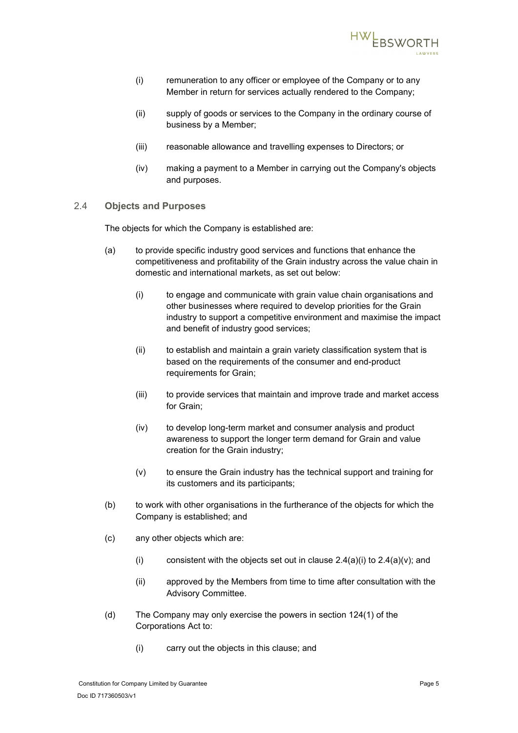

- (i) remuneration to any officer or employee of the Company or to any Member in return for services actually rendered to the Company;
- (ii) supply of goods or services to the Company in the ordinary course of business by a Member;
- (iii) reasonable allowance and travelling expenses to Directors; or
- (iv) making a payment to a Member in carrying out the Company's objects and purposes.
- <span id="page-8-0"></span>2.4 **Objects and Purposes**

The objects for which the Company is established are:

- <span id="page-8-1"></span>(a) to provide specific industry good services and functions that enhance the competitiveness and profitability of the Grain industry across the value chain in domestic and international markets, as set out below:
	- (i) to engage and communicate with grain value chain organisations and other businesses where required to develop priorities for the Grain industry to support a competitive environment and maximise the impact and benefit of industry good services;
	- (ii) to establish and maintain a grain variety classification system that is based on the requirements of the consumer and end-product requirements for Grain;
	- (iii) to provide services that maintain and improve trade and market access for Grain;
	- (iv) to develop long-term market and consumer analysis and product awareness to support the longer term demand for Grain and value creation for the Grain industry;
	- (v) to ensure the Grain industry has the technical support and training for its customers and its participants;
- <span id="page-8-2"></span>(b) to work with other organisations in the furtherance of the objects for which the Company is established; and
- (c) any other objects which are:
	- (i) consistent with the objects set out in clause  $2.4(a)(i)$  to  $2.4(a)(v)$ ; and
	- (ii) approved by the Members from time to time after consultation with the Advisory Committee.
- <span id="page-8-3"></span>(d) The Company may only exercise the powers in section 124(1) of the Corporations Act to:
	- (i) carry out the objects in this clause; and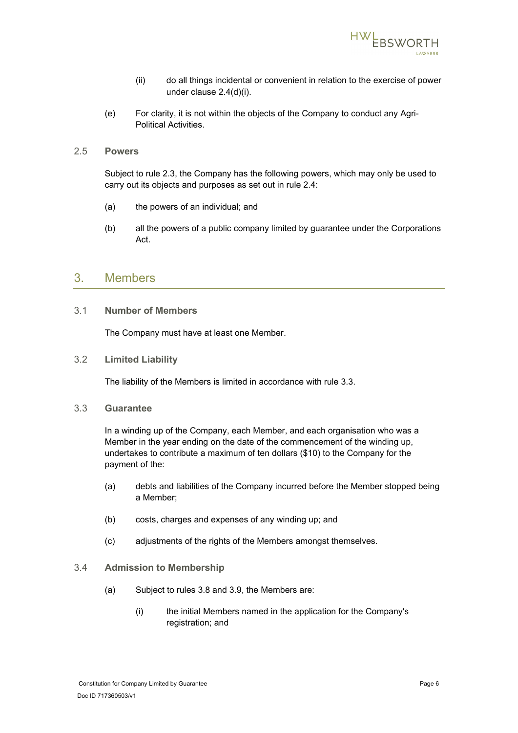

- (ii) do all things incidental or convenient in relation to the exercise of power under clause [2.4\(d\)\(i\).](#page-8-3)
- (e) For clarity, it is not within the objects of the Company to conduct any Agri-Political Activities.
- <span id="page-9-0"></span>2.5 **Powers**

Subject to rule [2.3,](#page-7-5) the Company has the following powers, which may only be used to carry out its objects and purposes as set out in rule [2.4:](#page-8-0)

- (a) the powers of an individual; and
- (b) all the powers of a public company limited by guarantee under the Corporations Act.

## <span id="page-9-1"></span>3. Members

<span id="page-9-2"></span>3.1 **Number of Members**

The Company must have at least one Member.

<span id="page-9-3"></span>3.2 **Limited Liability**

The liability of the Members is limited in accordance with rule [3.3.](#page-9-4)

<span id="page-9-4"></span>3.3 **Guarantee**

In a winding up of the Company, each Member, and each organisation who was a Member in the year ending on the date of the commencement of the winding up, undertakes to contribute a maximum of ten dollars (\$10) to the Company for the payment of the:

- (a) debts and liabilities of the Company incurred before the Member stopped being a Member;
- (b) costs, charges and expenses of any winding up; and
- (c) adjustments of the rights of the Members amongst themselves.

### <span id="page-9-5"></span>3.4 **Admission to Membership**

- (a) Subject to rules [3.8](#page-11-0) and [3.9,](#page-11-1) the Members are:
	- (i) the initial Members named in the application for the Company's registration; and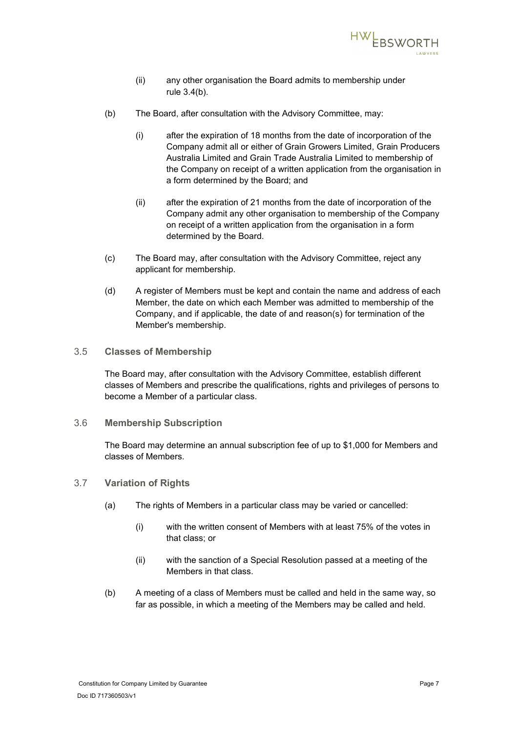

- (ii) any other organisation the Board admits to membership under rule [3.4\(b\).](#page-10-3)
- <span id="page-10-3"></span>(b) The Board, after consultation with the Advisory Committee, may:
	- (i) after the expiration of 18 months from the date of incorporation of the Company admit all or either of Grain Growers Limited, Grain Producers Australia Limited and Grain Trade Australia Limited to membership of the Company on receipt of a written application from the organisation in a form determined by the Board; and
	- (ii) after the expiration of 21 months from the date of incorporation of the Company admit any other organisation to membership of the Company on receipt of a written application from the organisation in a form determined by the Board.
- (c) The Board may, after consultation with the Advisory Committee, reject any applicant for membership.
- (d) A register of Members must be kept and contain the name and address of each Member, the date on which each Member was admitted to membership of the Company, and if applicable, the date of and reason(s) for termination of the Member's membership.
- <span id="page-10-0"></span>3.5 **Classes of Membership**

The Board may, after consultation with the Advisory Committee, establish different classes of Members and prescribe the qualifications, rights and privileges of persons to become a Member of a particular class.

<span id="page-10-1"></span>3.6 **Membership Subscription**

The Board may determine an annual subscription fee of up to \$1,000 for Members and classes of Members.

- <span id="page-10-2"></span>3.7 **Variation of Rights**
	- (a) The rights of Members in a particular class may be varied or cancelled:
		- (i) with the written consent of Members with at least 75% of the votes in that class; or
		- (ii) with the sanction of a Special Resolution passed at a meeting of the Members in that class.
	- (b) A meeting of a class of Members must be called and held in the same way, so far as possible, in which a meeting of the Members may be called and held.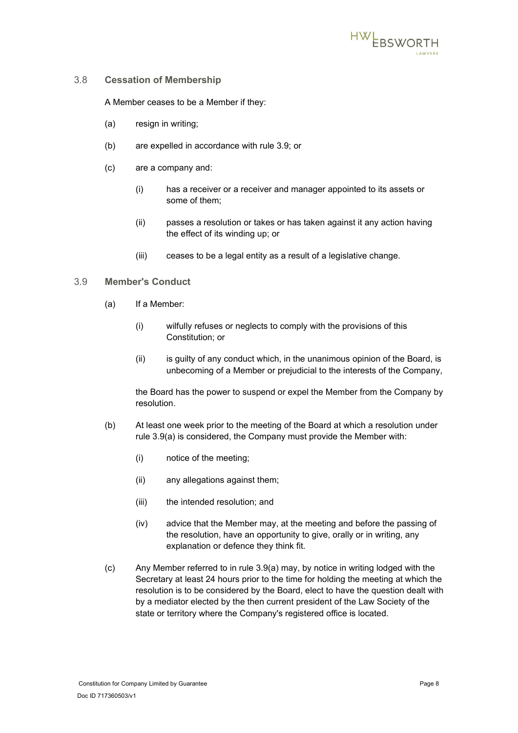

### <span id="page-11-0"></span>3.8 **Cessation of Membership**

A Member ceases to be a Member if they:

- (a) resign in writing;
- (b) are expelled in accordance with rule [3.9;](#page-11-1) or
- (c) are a company and:
	- (i) has a receiver or a receiver and manager appointed to its assets or some of them;
	- (ii) passes a resolution or takes or has taken against it any action having the effect of its winding up; or
	- (iii) ceases to be a legal entity as a result of a legislative change.

### <span id="page-11-2"></span><span id="page-11-1"></span>3.9 **Member's Conduct**

- (a) If a Member:
	- (i) wilfully refuses or neglects to comply with the provisions of this Constitution; or
	- (ii) is guilty of any conduct which, in the unanimous opinion of the Board, is unbecoming of a Member or prejudicial to the interests of the Company,

the Board has the power to suspend or expel the Member from the Company by resolution.

- (b) At least one week prior to the meeting of the Board at which a resolution under rule [3.9\(a\)](#page-11-2) is considered, the Company must provide the Member with:
	- (i) notice of the meeting;
	- (ii) any allegations against them;
	- (iii) the intended resolution; and
	- (iv) advice that the Member may, at the meeting and before the passing of the resolution, have an opportunity to give, orally or in writing, any explanation or defence they think fit.
- (c) Any Member referred to in rule [3.9\(a\)](#page-11-2) may, by notice in writing lodged with the Secretary at least 24 hours prior to the time for holding the meeting at which the resolution is to be considered by the Board, elect to have the question dealt with by a mediator elected by the then current president of the Law Society of the state or territory where the Company's registered office is located.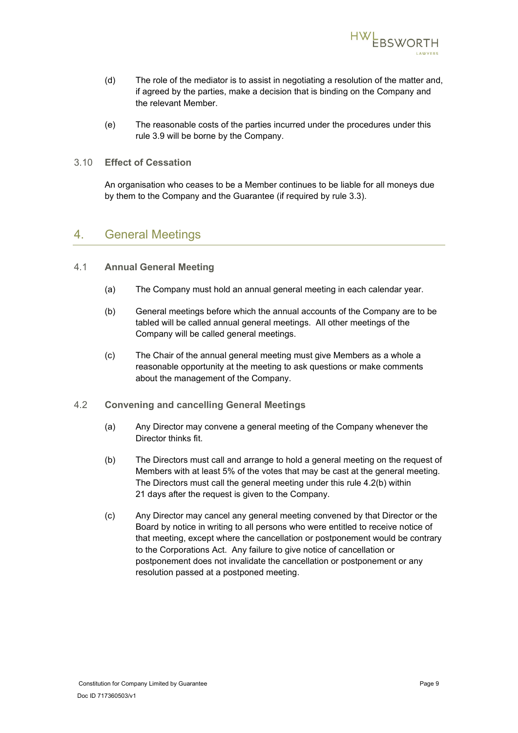

- (d) The role of the mediator is to assist in negotiating a resolution of the matter and, if agreed by the parties, make a decision that is binding on the Company and the relevant Member.
- (e) The reasonable costs of the parties incurred under the procedures under this rule [3.9](#page-11-1) will be borne by the Company.

### <span id="page-12-0"></span>3.10 **Effect of Cessation**

An organisation who ceases to be a Member continues to be liable for all moneys due by them to the Company and the Guarantee (if required by rule [3.3\)](#page-9-4).

### <span id="page-12-1"></span>4. General Meetings

### <span id="page-12-2"></span>4.1 **Annual General Meeting**

- (a) The Company must hold an annual general meeting in each calendar year.
- (b) General meetings before which the annual accounts of the Company are to be tabled will be called annual general meetings. All other meetings of the Company will be called general meetings.
- (c) The Chair of the annual general meeting must give Members as a whole a reasonable opportunity at the meeting to ask questions or make comments about the management of the Company.
- <span id="page-12-4"></span><span id="page-12-3"></span>4.2 **Convening and cancelling General Meetings**
	- (a) Any Director may convene a general meeting of the Company whenever the Director thinks fit.
	- (b) The Directors must call and arrange to hold a general meeting on the request of Members with at least 5% of the votes that may be cast at the general meeting. The Directors must call the general meeting under this rule [4.2\(b\)](#page-12-4) within 21 days after the request is given to the Company.
	- (c) Any Director may cancel any general meeting convened by that Director or the Board by notice in writing to all persons who were entitled to receive notice of that meeting, except where the cancellation or postponement would be contrary to the Corporations Act. Any failure to give notice of cancellation or postponement does not invalidate the cancellation or postponement or any resolution passed at a postponed meeting.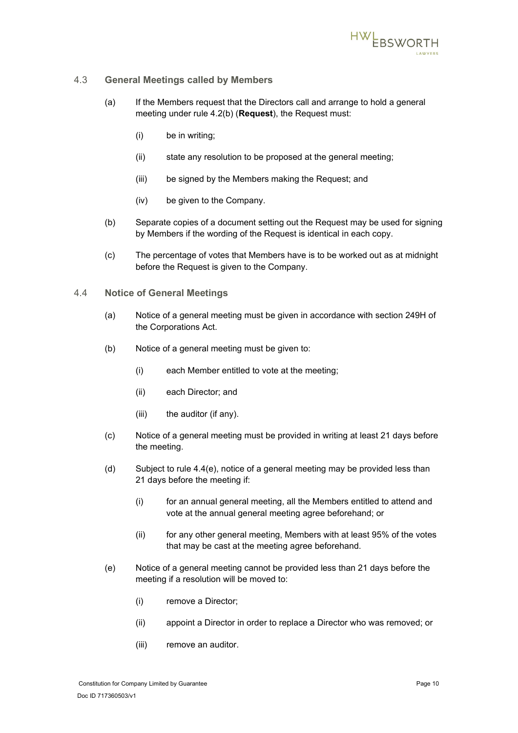

### <span id="page-13-0"></span>4.3 **General Meetings called by Members**

- (a) If the Members request that the Directors call and arrange to hold a general meeting under rule [4.2\(b\)](#page-12-4) (**Request**), the Request must:
	- (i) be in writing;
	- (ii) state any resolution to be proposed at the general meeting;
	- (iii) be signed by the Members making the Request; and
	- (iv) be given to the Company.
- (b) Separate copies of a document setting out the Request may be used for signing by Members if the wording of the Request is identical in each copy.
- (c) The percentage of votes that Members have is to be worked out as at midnight before the Request is given to the Company.
- <span id="page-13-2"></span><span id="page-13-1"></span>4.4 **Notice of General Meetings**
	- (a) Notice of a general meeting must be given in accordance with section 249H of the Corporations Act.
	- (b) Notice of a general meeting must be given to:
		- (i) each Member entitled to vote at the meeting;
		- (ii) each Director; and
		- (iii) the auditor (if any).
	- (c) Notice of a general meeting must be provided in writing at least 21 days before the meeting.
	- (d) Subject to rule [4.4\(e\),](#page-13-2) notice of a general meeting may be provided less than 21 days before the meeting if:
		- (i) for an annual general meeting, all the Members entitled to attend and vote at the annual general meeting agree beforehand; or
		- (ii) for any other general meeting, Members with at least 95% of the votes that may be cast at the meeting agree beforehand.
	- (e) Notice of a general meeting cannot be provided less than 21 days before the meeting if a resolution will be moved to:
		- (i) remove a Director;
		- (ii) appoint a Director in order to replace a Director who was removed; or
		- (iii) remove an auditor.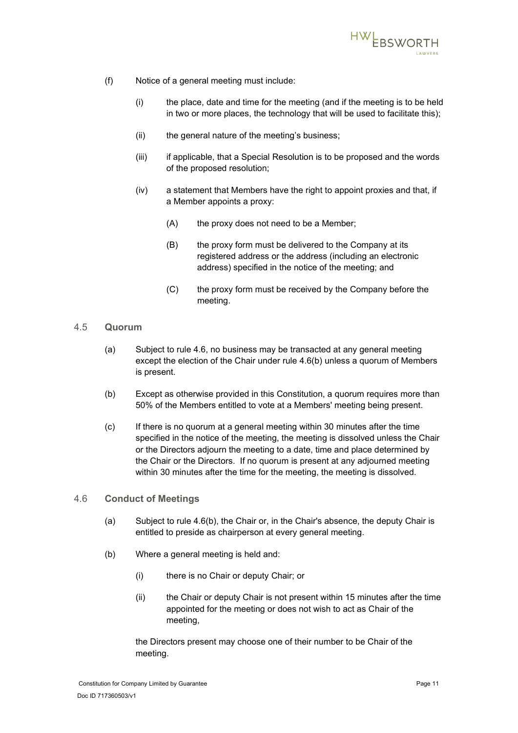

- (f) Notice of a general meeting must include:
	- (i) the place, date and time for the meeting (and if the meeting is to be held in two or more places, the technology that will be used to facilitate this);
	- (ii) the general nature of the meeting's business;
	- (iii) if applicable, that a Special Resolution is to be proposed and the words of the proposed resolution;
	- (iv) a statement that Members have the right to appoint proxies and that, if a Member appoints a proxy:
		- (A) the proxy does not need to be a Member;
		- (B) the proxy form must be delivered to the Company at its registered address or the address (including an electronic address) specified in the notice of the meeting; and
		- (C) the proxy form must be received by the Company before the meeting.

### <span id="page-14-0"></span>4.5 **Quorum**

- (a) Subject to rule [4.6,](#page-14-1) no business may be transacted at any general meeting except the election of the Chair under rule [4.6\(b\)](#page-14-2) unless a quorum of Members is present.
- (b) Except as otherwise provided in this Constitution, a quorum requires more than 50% of the Members entitled to vote at a Members' meeting being present.
- (c) If there is no quorum at a general meeting within 30 minutes after the time specified in the notice of the meeting, the meeting is dissolved unless the Chair or the Directors adjourn the meeting to a date, time and place determined by the Chair or the Directors. If no quorum is present at any adjourned meeting within 30 minutes after the time for the meeting, the meeting is dissolved.

### <span id="page-14-1"></span>4.6 **Conduct of Meetings**

- (a) Subject to rule [4.6\(b\),](#page-14-2) the Chair or, in the Chair's absence, the deputy Chair is entitled to preside as chairperson at every general meeting.
- <span id="page-14-2"></span>(b) Where a general meeting is held and:
	- (i) there is no Chair or deputy Chair; or
	- (ii) the Chair or deputy Chair is not present within 15 minutes after the time appointed for the meeting or does not wish to act as Chair of the meeting,

the Directors present may choose one of their number to be Chair of the meeting.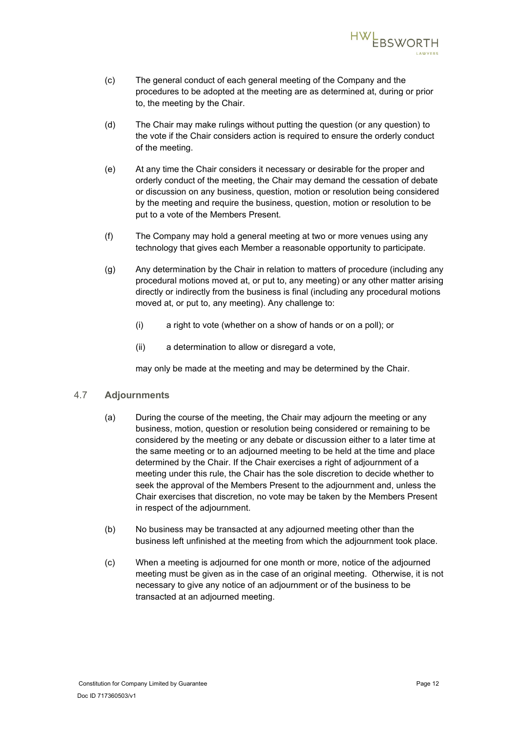

- (c) The general conduct of each general meeting of the Company and the procedures to be adopted at the meeting are as determined at, during or prior to, the meeting by the Chair.
- (d) The Chair may make rulings without putting the question (or any question) to the vote if the Chair considers action is required to ensure the orderly conduct of the meeting.
- (e) At any time the Chair considers it necessary or desirable for the proper and orderly conduct of the meeting, the Chair may demand the cessation of debate or discussion on any business, question, motion or resolution being considered by the meeting and require the business, question, motion or resolution to be put to a vote of the Members Present.
- (f) The Company may hold a general meeting at two or more venues using any technology that gives each Member a reasonable opportunity to participate.
- (g) Any determination by the Chair in relation to matters of procedure (including any procedural motions moved at, or put to, any meeting) or any other matter arising directly or indirectly from the business is final (including any procedural motions moved at, or put to, any meeting). Any challenge to:
	- (i) a right to vote (whether on a show of hands or on a poll); or
	- (ii) a determination to allow or disregard a vote,

may only be made at the meeting and may be determined by the Chair.

### <span id="page-15-0"></span>4.7 **Adjournments**

- (a) During the course of the meeting, the Chair may adjourn the meeting or any business, motion, question or resolution being considered or remaining to be considered by the meeting or any debate or discussion either to a later time at the same meeting or to an adjourned meeting to be held at the time and place determined by the Chair. If the Chair exercises a right of adjournment of a meeting under this rule, the Chair has the sole discretion to decide whether to seek the approval of the Members Present to the adjournment and, unless the Chair exercises that discretion, no vote may be taken by the Members Present in respect of the adjournment.
- (b) No business may be transacted at any adjourned meeting other than the business left unfinished at the meeting from which the adjournment took place.
- (c) When a meeting is adjourned for one month or more, notice of the adjourned meeting must be given as in the case of an original meeting. Otherwise, it is not necessary to give any notice of an adjournment or of the business to be transacted at an adjourned meeting.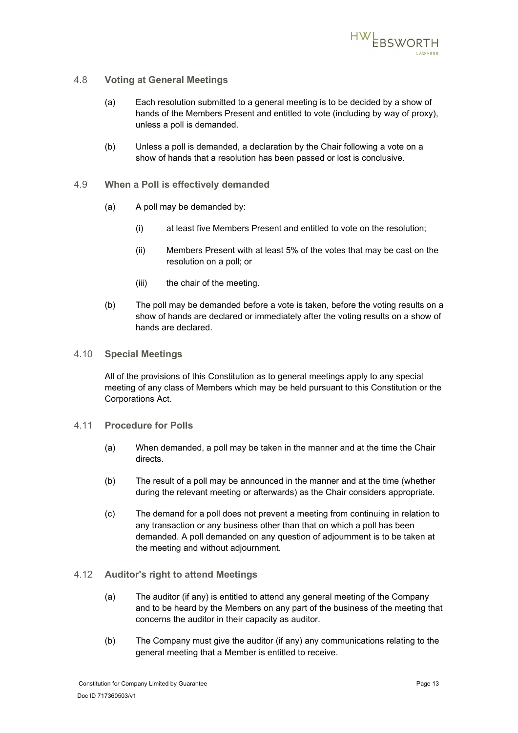

### <span id="page-16-0"></span>4.8 **Voting at General Meetings**

- (a) Each resolution submitted to a general meeting is to be decided by a show of hands of the Members Present and entitled to vote (including by way of proxy), unless a poll is demanded.
- (b) Unless a poll is demanded, a declaration by the Chair following a vote on a show of hands that a resolution has been passed or lost is conclusive.
- <span id="page-16-1"></span>4.9 **When a Poll is effectively demanded**
	- (a) A poll may be demanded by:
		- (i) at least five Members Present and entitled to vote on the resolution;
		- (ii) Members Present with at least 5% of the votes that may be cast on the resolution on a poll; or
		- (iii) the chair of the meeting.
	- (b) The poll may be demanded before a vote is taken, before the voting results on a show of hands are declared or immediately after the voting results on a show of hands are declared.

### <span id="page-16-2"></span>4.10 **Special Meetings**

All of the provisions of this Constitution as to general meetings apply to any special meeting of any class of Members which may be held pursuant to this Constitution or the Corporations Act.

- <span id="page-16-3"></span>4.11 **Procedure for Polls**
	- (a) When demanded, a poll may be taken in the manner and at the time the Chair directs.
	- (b) The result of a poll may be announced in the manner and at the time (whether during the relevant meeting or afterwards) as the Chair considers appropriate.
	- (c) The demand for a poll does not prevent a meeting from continuing in relation to any transaction or any business other than that on which a poll has been demanded. A poll demanded on any question of adjournment is to be taken at the meeting and without adjournment.

### <span id="page-16-4"></span>4.12 **Auditor's right to attend Meetings**

- (a) The auditor (if any) is entitled to attend any general meeting of the Company and to be heard by the Members on any part of the business of the meeting that concerns the auditor in their capacity as auditor.
- (b) The Company must give the auditor (if any) any communications relating to the general meeting that a Member is entitled to receive.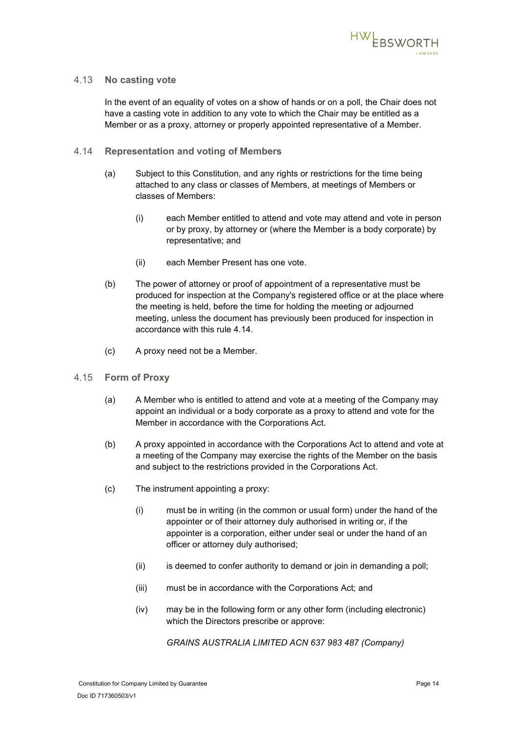

### <span id="page-17-0"></span>4.13 **No casting vote**

In the event of an equality of votes on a show of hands or on a poll, the Chair does not have a casting vote in addition to any vote to which the Chair may be entitled as a Member or as a proxy, attorney or properly appointed representative of a Member.

- <span id="page-17-1"></span>4.14 **Representation and voting of Members**
	- (a) Subject to this Constitution, and any rights or restrictions for the time being attached to any class or classes of Members, at meetings of Members or classes of Members:
		- (i) each Member entitled to attend and vote may attend and vote in person or by proxy, by attorney or (where the Member is a body corporate) by representative; and
		- (ii) each Member Present has one vote.
	- (b) The power of attorney or proof of appointment of a representative must be produced for inspection at the Company's registered office or at the place where the meeting is held, before the time for holding the meeting or adjourned meeting, unless the document has previously been produced for inspection in accordance with this rule [4.14.](#page-17-1)
	- (c) A proxy need not be a Member.
- <span id="page-17-2"></span>4.15 **Form of Proxy**
	- (a) A Member who is entitled to attend and vote at a meeting of the Company may appoint an individual or a body corporate as a proxy to attend and vote for the Member in accordance with the Corporations Act.
	- (b) A proxy appointed in accordance with the Corporations Act to attend and vote at a meeting of the Company may exercise the rights of the Member on the basis and subject to the restrictions provided in the Corporations Act.
	- (c) The instrument appointing a proxy:
		- (i) must be in writing (in the common or usual form) under the hand of the appointer or of their attorney duly authorised in writing or, if the appointer is a corporation, either under seal or under the hand of an officer or attorney duly authorised;
		- (ii) is deemed to confer authority to demand or join in demanding a poll;
		- (iii) must be in accordance with the Corporations Act; and
		- (iv) may be in the following form or any other form (including electronic) which the Directors prescribe or approve:

*GRAINS AUSTRALIA LIMITED ACN 637 983 487 (Company)*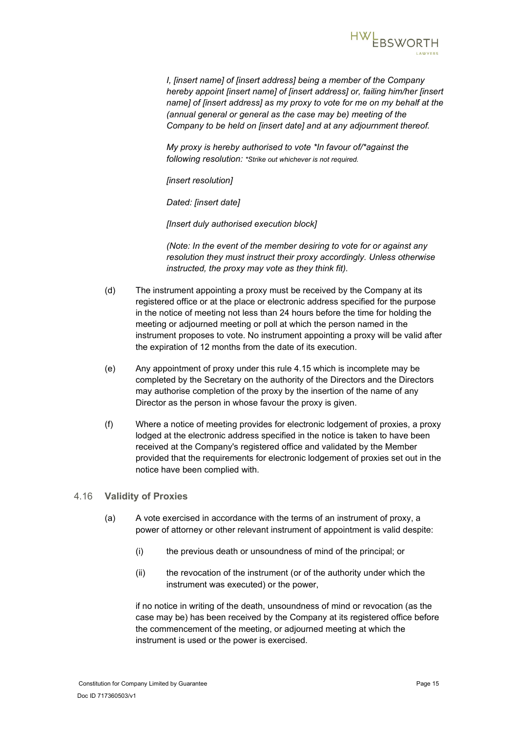

*I, [insert name] of [insert address] being a member of the Company hereby appoint [insert name] of [insert address] or, failing him/her [insert name] of [insert address] as my proxy to vote for me on my behalf at the (annual general or general as the case may be) meeting of the Company to be held on [insert date] and at any adjournment thereof.*

*My proxy is hereby authorised to vote \*In favour of/\*against the following resolution: \*Strike out whichever is not required.*

*[insert resolution]*

*Dated: [insert date]*

*[Insert duly authorised execution block]*

*(Note: In the event of the member desiring to vote for or against any resolution they must instruct their proxy accordingly. Unless otherwise instructed, the proxy may vote as they think fit).*

- (d) The instrument appointing a proxy must be received by the Company at its registered office or at the place or electronic address specified for the purpose in the notice of meeting not less than 24 hours before the time for holding the meeting or adjourned meeting or poll at which the person named in the instrument proposes to vote. No instrument appointing a proxy will be valid after the expiration of 12 months from the date of its execution.
- (e) Any appointment of proxy under this rule [4.15](#page-17-2) which is incomplete may be completed by the Secretary on the authority of the Directors and the Directors may authorise completion of the proxy by the insertion of the name of any Director as the person in whose favour the proxy is given.
- (f) Where a notice of meeting provides for electronic lodgement of proxies, a proxy lodged at the electronic address specified in the notice is taken to have been received at the Company's registered office and validated by the Member provided that the requirements for electronic lodgement of proxies set out in the notice have been complied with.

### <span id="page-18-0"></span>4.16 **Validity of Proxies**

- (a) A vote exercised in accordance with the terms of an instrument of proxy, a power of attorney or other relevant instrument of appointment is valid despite:
	- (i) the previous death or unsoundness of mind of the principal; or
	- (ii) the revocation of the instrument (or of the authority under which the instrument was executed) or the power,

if no notice in writing of the death, unsoundness of mind or revocation (as the case may be) has been received by the Company at its registered office before the commencement of the meeting, or adjourned meeting at which the instrument is used or the power is exercised.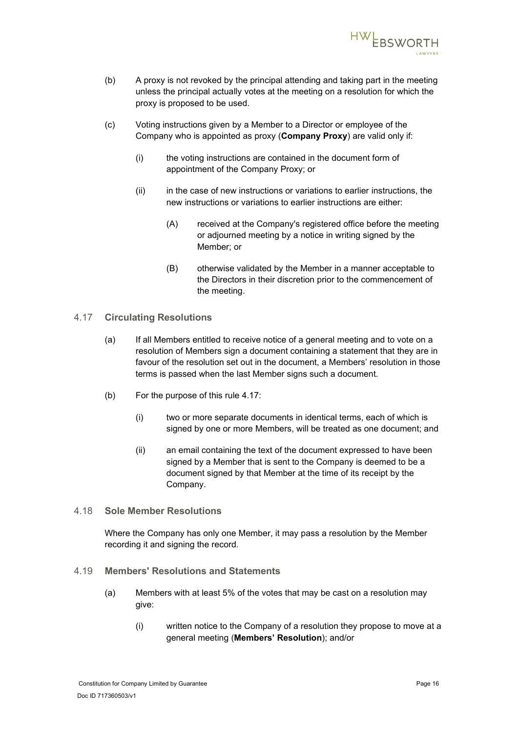

- (b) A proxy is not revoked by the principal attending and taking part in the meeting unless the principal actually votes at the meeting on a resolution for which the proxy is proposed to be used.
- (c) Voting instructions given by a Member to a Director or employee of the Company who is appointed as proxy (**Company Proxy**) are valid only if:
	- (i) the voting instructions are contained in the document form of appointment of the Company Proxy; or
	- (ii) in the case of new instructions or variations to earlier instructions, the new instructions or variations to earlier instructions are either:
		- (A) received at the Company's registered office before the meeting or adjourned meeting by a notice in writing signed by the Member; or
		- (B) otherwise validated by the Member in a manner acceptable to the Directors in their discretion prior to the commencement of the meeting.

### <span id="page-19-0"></span>4.17 **Circulating Resolutions**

- (a) If all Members entitled to receive notice of a general meeting and to vote on a resolution of Members sign a document containing a statement that they are in favour of the resolution set out in the document, a Members' resolution in those terms is passed when the last Member signs such a document.
- (b) For the purpose of this rule [4.17:](#page-19-0)
	- (i) two or more separate documents in identical terms, each of which is signed by one or more Members, will be treated as one document; and
	- (ii) an email containing the text of the document expressed to have been signed by a Member that is sent to the Company is deemed to be a document signed by that Member at the time of its receipt by the Company.

### <span id="page-19-1"></span>4.18 **Sole Member Resolutions**

Where the Company has only one Member, it may pass a resolution by the Member recording it and signing the record.

### <span id="page-19-3"></span><span id="page-19-2"></span>4.19 **Members' Resolutions and Statements**

- <span id="page-19-4"></span>(a) Members with at least 5% of the votes that may be cast on a resolution may give:
	- (i) written notice to the Company of a resolution they propose to move at a general meeting (**Members' Resolution**); and/or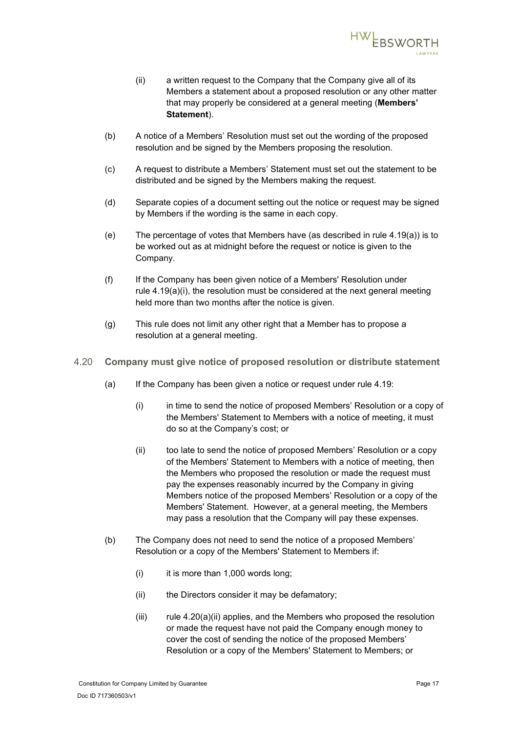

- (ii) a written request to the Company that the Company give all of its Members a statement about a proposed resolution or any other matter that may properly be considered at a general meeting (**Members' Statement**).
- (b) A notice of a Members' Resolution must set out the wording of the proposed resolution and be signed by the Members proposing the resolution.
- (c) A request to distribute a Members' Statement must set out the statement to be distributed and be signed by the Members making the request.
- (d) Separate copies of a document setting out the notice or request may be signed by Members if the wording is the same in each copy.
- (e) The percentage of votes that Members have (as described in rule [4.19\(a\)\)](#page-19-3) is to be worked out as at midnight before the request or notice is given to the Company.
- (f) If the Company has been given notice of a Members' Resolution under rule [4.19\(a\)\(i\),](#page-19-4) the resolution must be considered at the next general meeting held more than two months after the notice is given.
- (g) This rule does not limit any other right that a Member has to propose a resolution at a general meeting.
- <span id="page-20-1"></span><span id="page-20-0"></span>4.20 **Company must give notice of proposed resolution or distribute statement**
	- (a) If the Company has been given a notice or request under rule [4.19:](#page-19-2)
		- (i) in time to send the notice of proposed Members' Resolution or a copy of the Members' Statement to Members with a notice of meeting, it must do so at the Company's cost; or
		- (ii) too late to send the notice of proposed Members' Resolution or a copy of the Members' Statement to Members with a notice of meeting, then the Members who proposed the resolution or made the request must pay the expenses reasonably incurred by the Company in giving Members notice of the proposed Members' Resolution or a copy of the Members' Statement. However, at a general meeting, the Members may pass a resolution that the Company will pay these expenses.
	- (b) The Company does not need to send the notice of a proposed Members' Resolution or a copy of the Members' Statement to Members if:
		- $(i)$  it is more than 1,000 words long;
		- (ii) the Directors consider it may be defamatory;
		- $(iii)$  rule [4.20\(a\)\(ii\)](#page-20-1) applies, and the Members who proposed the resolution or made the request have not paid the Company enough money to cover the cost of sending the notice of the proposed Members' Resolution or a copy of the Members' Statement to Members; or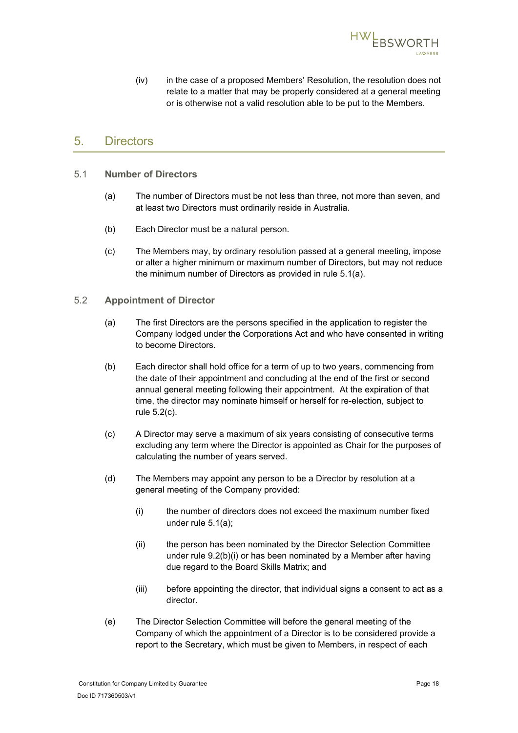

(iv) in the case of a proposed Members' Resolution, the resolution does not relate to a matter that may be properly considered at a general meeting or is otherwise not a valid resolution able to be put to the Members.

# <span id="page-21-0"></span>5. Directors

- <span id="page-21-3"></span><span id="page-21-1"></span>5.1 **Number of Directors**
	- (a) The number of Directors must be not less than three, not more than seven, and at least two Directors must ordinarily reside in Australia.
	- (b) Each Director must be a natural person.
	- (c) The Members may, by ordinary resolution passed at a general meeting, impose or alter a higher minimum or maximum number of Directors, but may not reduce the minimum number of Directors as provided in rule [5.1\(a\).](#page-21-3)
- <span id="page-21-6"></span><span id="page-21-5"></span><span id="page-21-4"></span><span id="page-21-2"></span>5.2 **Appointment of Director**
	- (a) The first Directors are the persons specified in the application to register the Company lodged under the Corporations Act and who have consented in writing to become Directors.
	- (b) Each director shall hold office for a term of up to two years, commencing from the date of their appointment and concluding at the end of the first or second annual general meeting following their appointment. At the expiration of that time, the director may nominate himself or herself for re-election, subject to rule [5.2\(c\).](#page-21-4)
	- (c) A Director may serve a maximum of six years consisting of consecutive terms excluding any term where the Director is appointed as Chair for the purposes of calculating the number of years served.
	- (d) The Members may appoint any person to be a Director by resolution at a general meeting of the Company provided:
		- (i) the number of directors does not exceed the maximum number fixed under rule [5.1\(a\);](#page-21-3)
		- (ii) the person has been nominated by the Director Selection Committee under rule [9.2\(b\)\(i\)](#page-28-3) or has been nominated by a Member after having due regard to the Board Skills Matrix; and
		- (iii) before appointing the director, that individual signs a consent to act as a director.
	- (e) The Director Selection Committee will before the general meeting of the Company of which the appointment of a Director is to be considered provide a report to the Secretary, which must be given to Members, in respect of each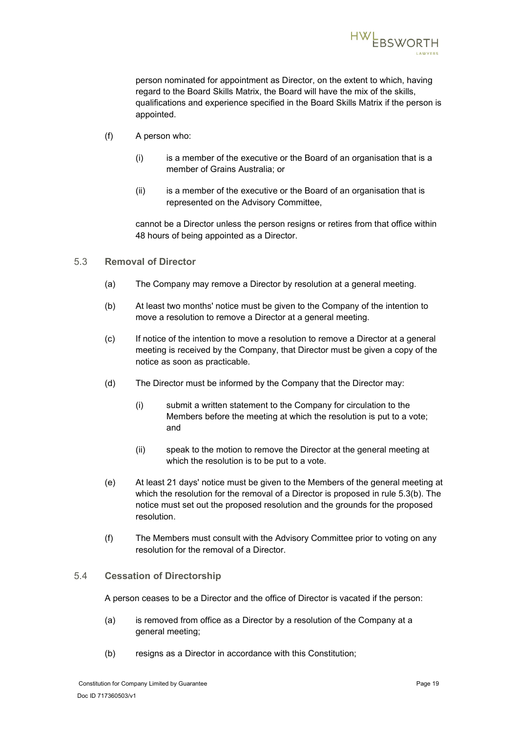

person nominated for appointment as Director, on the extent to which, having regard to the Board Skills Matrix, the Board will have the mix of the skills, qualifications and experience specified in the Board Skills Matrix if the person is appointed.

- <span id="page-22-4"></span><span id="page-22-3"></span>(f) A person who:
	- $(i)$  is a member of the executive or the Board of an organisation that is a member of Grains Australia; or
	- (ii) is a member of the executive or the Board of an organisation that is represented on the Advisory Committee,

cannot be a Director unless the person resigns or retires from that office within 48 hours of being appointed as a Director.

- <span id="page-22-2"></span><span id="page-22-0"></span>5.3 **Removal of Director**
	- (a) The Company may remove a Director by resolution at a general meeting.
	- (b) At least two months' notice must be given to the Company of the intention to move a resolution to remove a Director at a general meeting.
	- (c) If notice of the intention to move a resolution to remove a Director at a general meeting is received by the Company, that Director must be given a copy of the notice as soon as practicable.
	- (d) The Director must be informed by the Company that the Director may:
		- (i) submit a written statement to the Company for circulation to the Members before the meeting at which the resolution is put to a vote; and
		- (ii) speak to the motion to remove the Director at the general meeting at which the resolution is to be put to a vote.
	- (e) At least 21 days' notice must be given to the Members of the general meeting at which the resolution for the removal of a Director is proposed in rule [5.3\(b\).](#page-22-2) The notice must set out the proposed resolution and the grounds for the proposed resolution.
	- (f) The Members must consult with the Advisory Committee prior to voting on any resolution for the removal of a Director.

### <span id="page-22-1"></span>5.4 **Cessation of Directorship**

A person ceases to be a Director and the office of Director is vacated if the person:

- (a) is removed from office as a Director by a resolution of the Company at a general meeting;
- (b) resigns as a Director in accordance with this Constitution;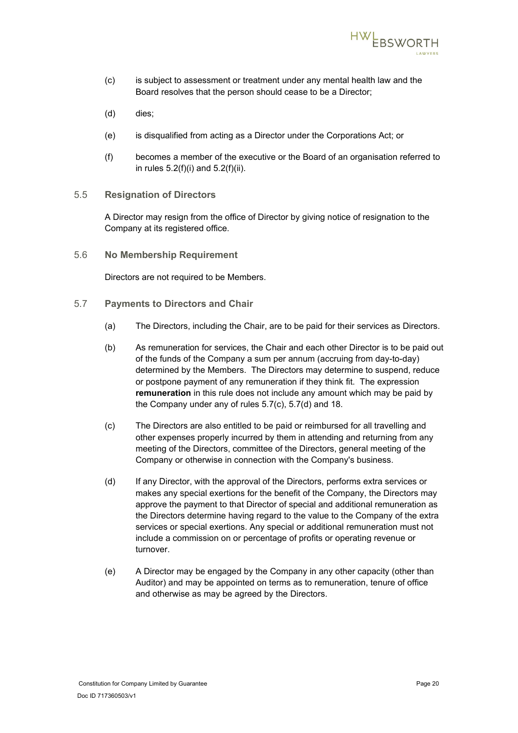

- (c) is subject to assessment or treatment under any mental health law and the Board resolves that the person should cease to be a Director;
- (d) dies;
- (e) is disqualified from acting as a Director under the Corporations Act; or
- (f) becomes a member of the executive or the Board of an organisation referred to in rules [5.2\(f\)\(i\)](#page-22-3) and [5.2\(f\)\(ii\).](#page-22-4)
- <span id="page-23-0"></span>5.5 **Resignation of Directors**

A Director may resign from the office of Director by giving notice of resignation to the Company at its registered office.

<span id="page-23-1"></span>5.6 **No Membership Requirement**

Directors are not required to be Members.

- <span id="page-23-4"></span><span id="page-23-3"></span><span id="page-23-2"></span>5.7 **Payments to Directors and Chair**
	- (a) The Directors, including the Chair, are to be paid for their services as Directors.
	- (b) As remuneration for services, the Chair and each other Director is to be paid out of the funds of the Company a sum per annum (accruing from day-to-day) determined by the Members. The Directors may determine to suspend, reduce or postpone payment of any remuneration if they think fit. The expression **remuneration** in this rule does not include any amount which may be paid by the Company under any of rules [5.7\(c\),](#page-23-3) [5.7\(d\)](#page-23-4) and [18.](#page-33-0)
	- (c) The Directors are also entitled to be paid or reimbursed for all travelling and other expenses properly incurred by them in attending and returning from any meeting of the Directors, committee of the Directors, general meeting of the Company or otherwise in connection with the Company's business.
	- (d) If any Director, with the approval of the Directors, performs extra services or makes any special exertions for the benefit of the Company, the Directors may approve the payment to that Director of special and additional remuneration as the Directors determine having regard to the value to the Company of the extra services or special exertions. Any special or additional remuneration must not include a commission on or percentage of profits or operating revenue or turnover.
	- (e) A Director may be engaged by the Company in any other capacity (other than Auditor) and may be appointed on terms as to remuneration, tenure of office and otherwise as may be agreed by the Directors.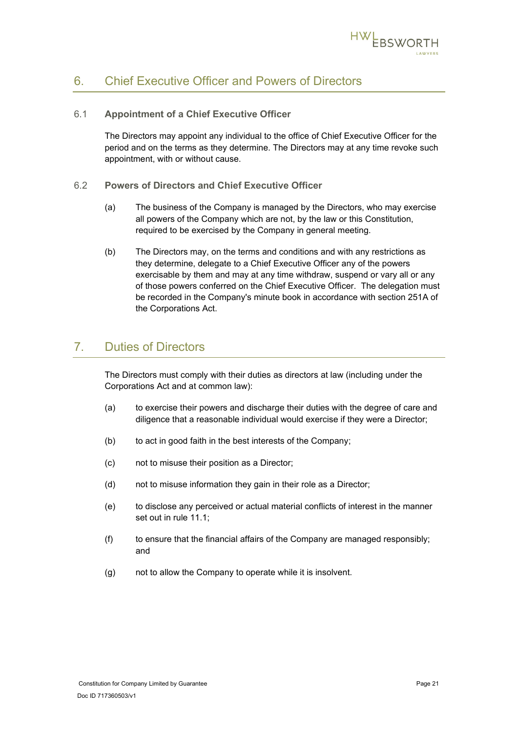

# <span id="page-24-0"></span>6. Chief Executive Officer and Powers of Directors

### <span id="page-24-1"></span>6.1 **Appointment of a Chief Executive Officer**

The Directors may appoint any individual to the office of Chief Executive Officer for the period and on the terms as they determine. The Directors may at any time revoke such appointment, with or without cause.

- <span id="page-24-2"></span>6.2 **Powers of Directors and Chief Executive Officer**
	- (a) The business of the Company is managed by the Directors, who may exercise all powers of the Company which are not, by the law or this Constitution, required to be exercised by the Company in general meeting.
	- (b) The Directors may, on the terms and conditions and with any restrictions as they determine, delegate to a Chief Executive Officer any of the powers exercisable by them and may at any time withdraw, suspend or vary all or any of those powers conferred on the Chief Executive Officer. The delegation must be recorded in the Company's minute book in accordance with section 251A of the Corporations Act.

# <span id="page-24-3"></span>7. Duties of Directors

The Directors must comply with their duties as directors at law (including under the Corporations Act and at common law):

- (a) to exercise their powers and discharge their duties with the degree of care and diligence that a reasonable individual would exercise if they were a Director;
- (b) to act in good faith in the best interests of the Company;
- (c) not to misuse their position as a Director;
- (d) not to misuse information they gain in their role as a Director;
- (e) to disclose any perceived or actual material conflicts of interest in the manner set out in rule [11.1;](#page-29-2)
- $(f)$  to ensure that the financial affairs of the Company are managed responsibly; and
- (g) not to allow the Company to operate while it is insolvent.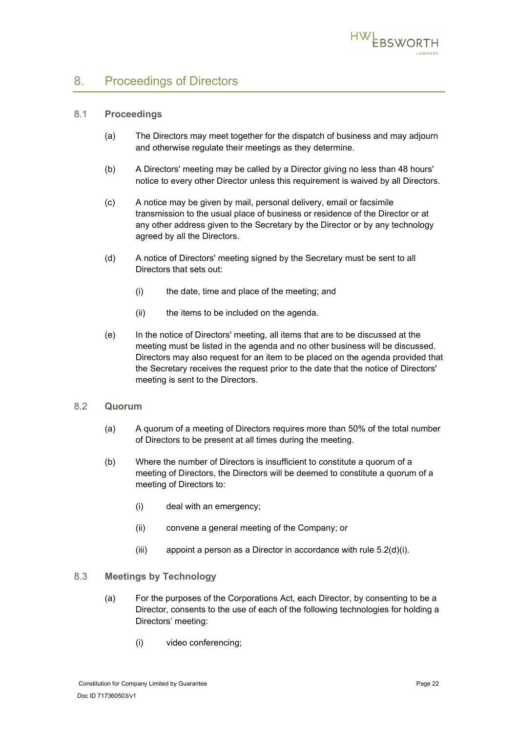

# <span id="page-25-0"></span>8. Proceedings of Directors

### <span id="page-25-1"></span>8.1 **Proceedings**

- (a) The Directors may meet together for the dispatch of business and may adjourn and otherwise regulate their meetings as they determine.
- (b) A Directors' meeting may be called by a Director giving no less than 48 hours' notice to every other Director unless this requirement is waived by all Directors.
- (c) A notice may be given by mail, personal delivery, email or facsimile transmission to the usual place of business or residence of the Director or at any other address given to the Secretary by the Director or by any technology agreed by all the Directors.
- (d) A notice of Directors' meeting signed by the Secretary must be sent to all Directors that sets out:
	- (i) the date, time and place of the meeting; and
	- (ii) the items to be included on the agenda.
- (e) In the notice of Directors' meeting, all items that are to be discussed at the meeting must be listed in the agenda and no other business will be discussed. Directors may also request for an item to be placed on the agenda provided that the Secretary receives the request prior to the date that the notice of Directors' meeting is sent to the Directors.

### <span id="page-25-2"></span>8.2 **Quorum**

- (a) A quorum of a meeting of Directors requires more than 50% of the total number of Directors to be present at all times during the meeting.
- (b) Where the number of Directors is insufficient to constitute a quorum of a meeting of Directors, the Directors will be deemed to constitute a quorum of a meeting of Directors to:
	- (i) deal with an emergency;
	- (ii) convene a general meeting of the Company; or
	- (iii) appoint a person as a Director in accordance with rule  $5.2(d)(i)$ .

### <span id="page-25-4"></span><span id="page-25-3"></span>8.3 **Meetings by Technology**

- (a) For the purposes of the Corporations Act, each Director, by consenting to be a Director, consents to the use of each of the following technologies for holding a Directors' meeting:
	- (i) video conferencing;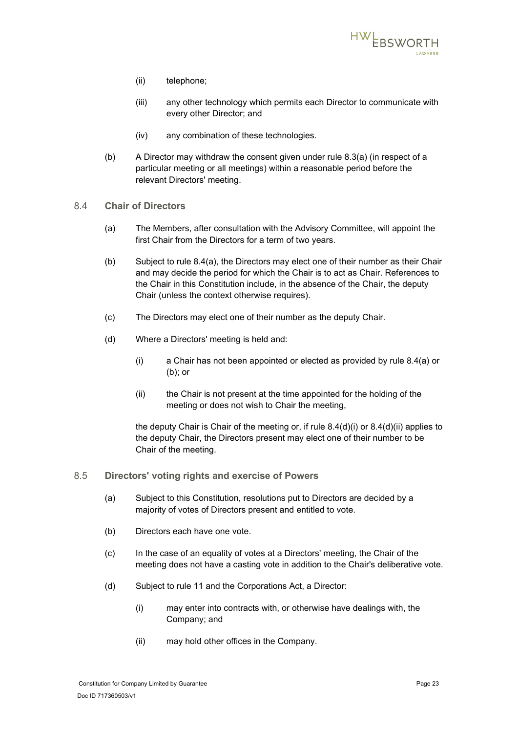

- (ii) telephone;
- (iii) any other technology which permits each Director to communicate with every other Director; and
- (iv) any combination of these technologies.
- (b) A Director may withdraw the consent given under rule [8.3\(a\)](#page-25-4) (in respect of a particular meeting or all meetings) within a reasonable period before the relevant Directors' meeting.
- <span id="page-26-3"></span><span id="page-26-2"></span><span id="page-26-0"></span>8.4 **Chair of Directors**
	- (a) The Members, after consultation with the Advisory Committee, will appoint the first Chair from the Directors for a term of two years.
	- (b) Subject to rule [8.4\(a\),](#page-26-2) the Directors may elect one of their number as their Chair and may decide the period for which the Chair is to act as Chair. References to the Chair in this Constitution include, in the absence of the Chair, the deputy Chair (unless the context otherwise requires).
	- (c) The Directors may elect one of their number as the deputy Chair.
	- (d) Where a Directors' meeting is held and:
		- (i) a Chair has not been appointed or elected as provided by rule [8.4\(a\)](#page-26-2) or [\(b\);](#page-26-3) or
		- (ii) the Chair is not present at the time appointed for the holding of the meeting or does not wish to Chair the meeting,

<span id="page-26-5"></span><span id="page-26-4"></span>the deputy Chair is Chair of the meeting or, if rule [8.4\(d\)\(i\)](#page-26-4) or [8.4\(d\)\(ii\)](#page-26-5) applies to the deputy Chair, the Directors present may elect one of their number to be Chair of the meeting.

- <span id="page-26-1"></span>8.5 **Directors' voting rights and exercise of Powers**
	- (a) Subject to this Constitution, resolutions put to Directors are decided by a majority of votes of Directors present and entitled to vote.
	- (b) Directors each have one vote.
	- (c) In the case of an equality of votes at a Directors' meeting, the Chair of the meeting does not have a casting vote in addition to the Chair's deliberative vote.
	- (d) Subject to rule [11](#page-29-1) and the Corporations Act, a Director:
		- (i) may enter into contracts with, or otherwise have dealings with, the Company; and
		- (ii) may hold other offices in the Company.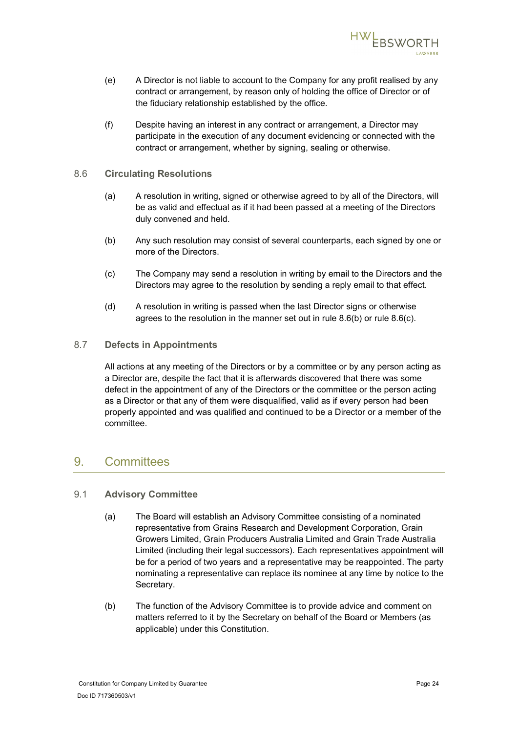

- (e) A Director is not liable to account to the Company for any profit realised by any contract or arrangement, by reason only of holding the office of Director or of the fiduciary relationship established by the office.
- (f) Despite having an interest in any contract or arrangement, a Director may participate in the execution of any document evidencing or connected with the contract or arrangement, whether by signing, sealing or otherwise.

### <span id="page-27-0"></span>8.6 **Circulating Resolutions**

- (a) A resolution in writing, signed or otherwise agreed to by all of the Directors, will be as valid and effectual as if it had been passed at a meeting of the Directors duly convened and held.
- <span id="page-27-4"></span>(b) Any such resolution may consist of several counterparts, each signed by one or more of the Directors.
- <span id="page-27-5"></span>(c) The Company may send a resolution in writing by email to the Directors and the Directors may agree to the resolution by sending a reply email to that effect.
- (d) A resolution in writing is passed when the last Director signs or otherwise agrees to the resolution in the manner set out in rule [8.6\(b\)](#page-27-4) or rule [8.6\(c\).](#page-27-5)

### <span id="page-27-1"></span>8.7 **Defects in Appointments**

All actions at any meeting of the Directors or by a committee or by any person acting as a Director are, despite the fact that it is afterwards discovered that there was some defect in the appointment of any of the Directors or the committee or the person acting as a Director or that any of them were disqualified, valid as if every person had been properly appointed and was qualified and continued to be a Director or a member of the committee.

### <span id="page-27-2"></span>9. Committees

### <span id="page-27-3"></span>9.1 **Advisory Committee**

- (a) The Board will establish an Advisory Committee consisting of a nominated representative from Grains Research and Development Corporation, Grain Growers Limited, Grain Producers Australia Limited and Grain Trade Australia Limited (including their legal successors). Each representatives appointment will be for a period of two years and a representative may be reappointed. The party nominating a representative can replace its nominee at any time by notice to the Secretary.
- (b) The function of the Advisory Committee is to provide advice and comment on matters referred to it by the Secretary on behalf of the Board or Members (as applicable) under this Constitution.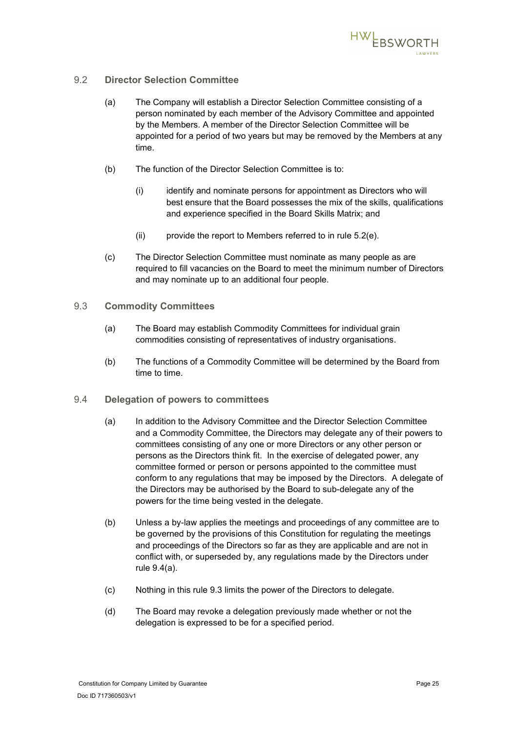

### <span id="page-28-0"></span>9.2 **Director Selection Committee**

- (a) The Company will establish a Director Selection Committee consisting of a person nominated by each member of the Advisory Committee and appointed by the Members. A member of the Director Selection Committee will be appointed for a period of two years but may be removed by the Members at any time.
- <span id="page-28-3"></span>(b) The function of the Director Selection Committee is to:
	- (i) identify and nominate persons for appointment as Directors who will best ensure that the Board possesses the mix of the skills, qualifications and experience specified in the Board Skills Matrix; and
	- (ii) provide the report to Members referred to in rule [5.2\(e\).](#page-21-6)
- (c) The Director Selection Committee must nominate as many people as are required to fill vacancies on the Board to meet the minimum number of Directors and may nominate up to an additional four people.
- <span id="page-28-1"></span>9.3 **Commodity Committees**
	- (a) The Board may establish Commodity Committees for individual grain commodities consisting of representatives of industry organisations.
	- (b) The functions of a Commodity Committee will be determined by the Board from time to time.
- <span id="page-28-4"></span><span id="page-28-2"></span>9.4 **Delegation of powers to committees**
	- (a) In addition to the Advisory Committee and the Director Selection Committee and a Commodity Committee, the Directors may delegate any of their powers to committees consisting of any one or more Directors or any other person or persons as the Directors think fit. In the exercise of delegated power, any committee formed or person or persons appointed to the committee must conform to any regulations that may be imposed by the Directors. A delegate of the Directors may be authorised by the Board to sub-delegate any of the powers for the time being vested in the delegate.
	- (b) Unless a by-law applies the meetings and proceedings of any committee are to be governed by the provisions of this Constitution for regulating the meetings and proceedings of the Directors so far as they are applicable and are not in conflict with, or superseded by, any regulations made by the Directors under rule [9.4\(a\).](#page-28-4)
	- (c) Nothing in this rule [9.3](#page-28-1) limits the power of the Directors to delegate.
	- (d) The Board may revoke a delegation previously made whether or not the delegation is expressed to be for a specified period.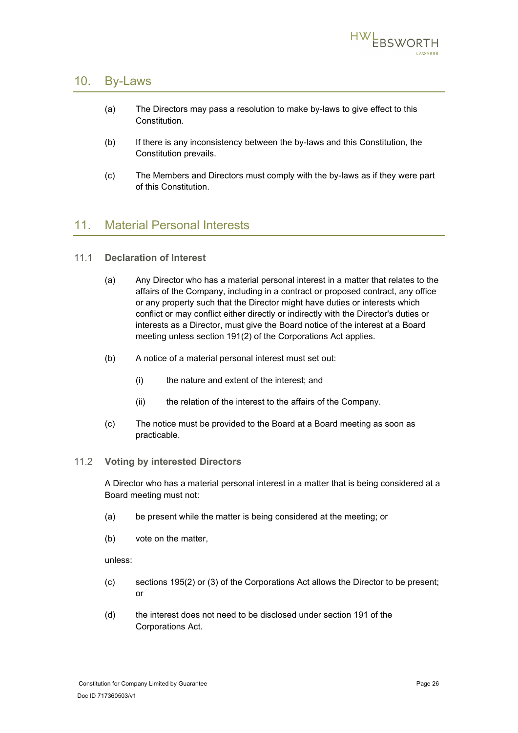

## <span id="page-29-0"></span>10. By-Laws

- (a) The Directors may pass a resolution to make by-laws to give effect to this Constitution.
- (b) If there is any inconsistency between the by-laws and this Constitution, the Constitution prevails.
- (c) The Members and Directors must comply with the by-laws as if they were part of this Constitution.

# <span id="page-29-1"></span>11. Material Personal Interests

- <span id="page-29-2"></span>11.1 **Declaration of Interest**
	- (a) Any Director who has a material personal interest in a matter that relates to the affairs of the Company, including in a contract or proposed contract, any office or any property such that the Director might have duties or interests which conflict or may conflict either directly or indirectly with the Director's duties or interests as a Director, must give the Board notice of the interest at a Board meeting unless section 191(2) of the Corporations Act applies.
	- (b) A notice of a material personal interest must set out:
		- (i) the nature and extent of the interest; and
		- (ii) the relation of the interest to the affairs of the Company.
	- (c) The notice must be provided to the Board at a Board meeting as soon as practicable.

### <span id="page-29-3"></span>11.2 **Voting by interested Directors**

A Director who has a material personal interest in a matter that is being considered at a Board meeting must not:

- (a) be present while the matter is being considered at the meeting; or
- (b) vote on the matter,

unless:

- (c) sections 195(2) or (3) of the Corporations Act allows the Director to be present; or
- (d) the interest does not need to be disclosed under section 191 of the Corporations Act.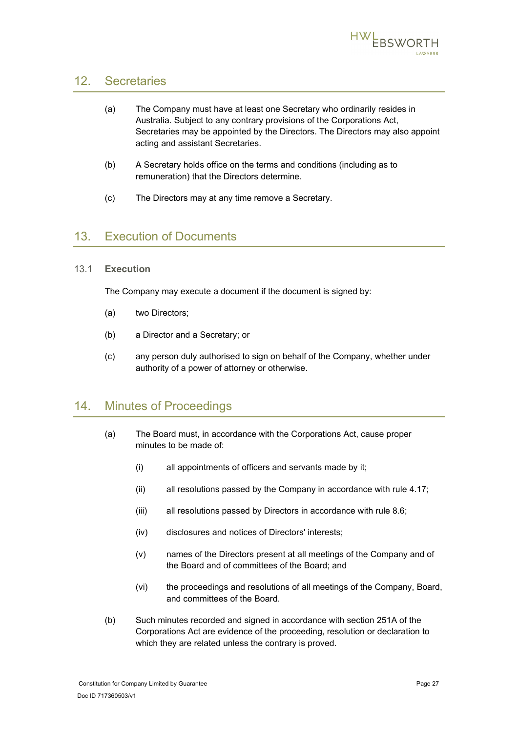

# <span id="page-30-4"></span><span id="page-30-0"></span>12. Secretaries

| (a) | The Company must have at least one Secretary who ordinarily resides in        |
|-----|-------------------------------------------------------------------------------|
|     | Australia. Subject to any contrary provisions of the Corporations Act,        |
|     | Secretaries may be appointed by the Directors. The Directors may also appoint |
|     | acting and assistant Secretaries.                                             |

- (b) A Secretary holds office on the terms and conditions (including as to remuneration) that the Directors determine.
- (c) The Directors may at any time remove a Secretary.

# <span id="page-30-1"></span>13. Execution of Documents

### <span id="page-30-2"></span>13.1 **Execution**

The Company may execute a document if the document is signed by:

- (a) two Directors;
- (b) a Director and a Secretary; or
- (c) any person duly authorised to sign on behalf of the Company, whether under authority of a power of attorney or otherwise.

# <span id="page-30-3"></span>14. Minutes of Proceedings

- (a) The Board must, in accordance with the Corporations Act, cause proper minutes to be made of:
	- (i) all appointments of officers and servants made by it;
	- (ii) all resolutions passed by the Company in accordance with rule [4.17;](#page-19-0)
	- (iii) all resolutions passed by Directors in accordance with rule [8.6;](#page-27-0)
	- (iv) disclosures and notices of Directors' interests;
	- (v) names of the Directors present at all meetings of the Company and of the Board and of committees of the Board; and
	- (vi) the proceedings and resolutions of all meetings of the Company, Board, and committees of the Board.
- (b) Such minutes recorded and signed in accordance with section 251A of the Corporations Act are evidence of the proceeding, resolution or declaration to which they are related unless the contrary is proved.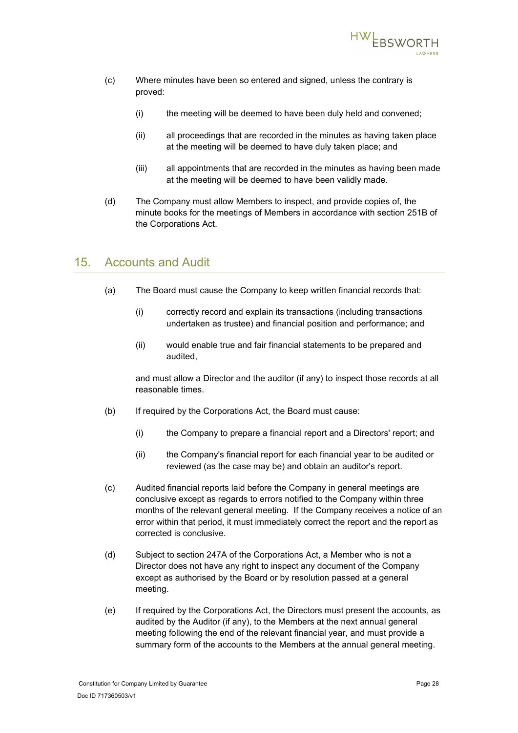

- (c) Where minutes have been so entered and signed, unless the contrary is proved:
	- (i) the meeting will be deemed to have been duly held and convened;
	- (ii) all proceedings that are recorded in the minutes as having taken place at the meeting will be deemed to have duly taken place; and
	- (iii) all appointments that are recorded in the minutes as having been made at the meeting will be deemed to have been validly made.
- (d) The Company must allow Members to inspect, and provide copies of, the minute books for the meetings of Members in accordance with section 251B of the Corporations Act.

# <span id="page-31-0"></span>15. Accounts and Audit

- (a) The Board must cause the Company to keep written financial records that:
	- (i) correctly record and explain its transactions (including transactions undertaken as trustee) and financial position and performance; and
	- (ii) would enable true and fair financial statements to be prepared and audited,

and must allow a Director and the auditor (if any) to inspect those records at all reasonable times.

- (b) If required by the Corporations Act, the Board must cause:
	- (i) the Company to prepare a financial report and a Directors' report; and
	- (ii) the Company's financial report for each financial year to be audited or reviewed (as the case may be) and obtain an auditor's report.
- (c) Audited financial reports laid before the Company in general meetings are conclusive except as regards to errors notified to the Company within three months of the relevant general meeting. If the Company receives a notice of an error within that period, it must immediately correct the report and the report as corrected is conclusive.
- (d) Subject to section 247A of the Corporations Act, a Member who is not a Director does not have any right to inspect any document of the Company except as authorised by the Board or by resolution passed at a general meeting.
- (e) If required by the Corporations Act, the Directors must present the accounts, as audited by the Auditor (if any), to the Members at the next annual general meeting following the end of the relevant financial year, and must provide a summary form of the accounts to the Members at the annual general meeting.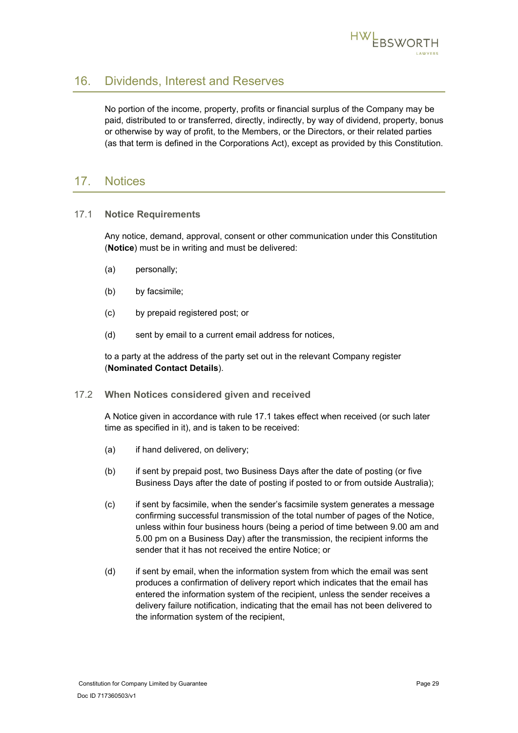

# <span id="page-32-0"></span>16. Dividends, Interest and Reserves

No portion of the income, property, profits or financial surplus of the Company may be paid, distributed to or transferred, directly, indirectly, by way of dividend, property, bonus or otherwise by way of profit, to the Members, or the Directors, or their related parties (as that term is defined in the Corporations Act), except as provided by this Constitution.

## <span id="page-32-1"></span>17. Notices

### <span id="page-32-2"></span>17.1 **Notice Requirements**

Any notice, demand, approval, consent or other communication under this Constitution (**Notice**) must be in writing and must be delivered:

- (a) personally;
- (b) by facsimile;
- (c) by prepaid registered post; or
- (d) sent by email to a current email address for notices,

to a party at the address of the party set out in the relevant Company register (**Nominated Contact Details**).

### <span id="page-32-3"></span>17.2 **When Notices considered given and received**

A Notice given in accordance with rule [17.1](#page-32-2) takes effect when received (or such later time as specified in it), and is taken to be received:

- (a) if hand delivered, on delivery;
- (b) if sent by prepaid post, two Business Days after the date of posting (or five Business Days after the date of posting if posted to or from outside Australia);
- (c) if sent by facsimile, when the sender's facsimile system generates a message confirming successful transmission of the total number of pages of the Notice, unless within four business hours (being a period of time between 9.00 am and 5.00 pm on a Business Day) after the transmission, the recipient informs the sender that it has not received the entire Notice; or
- (d) if sent by email, when the information system from which the email was sent produces a confirmation of delivery report which indicates that the email has entered the information system of the recipient, unless the sender receives a delivery failure notification, indicating that the email has not been delivered to the information system of the recipient,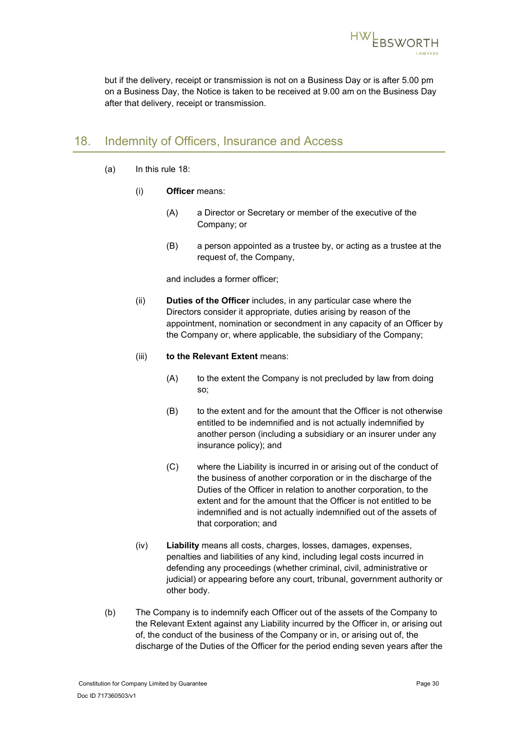

but if the delivery, receipt or transmission is not on a Business Day or is after 5.00 pm on a Business Day, the Notice is taken to be received at 9.00 am on the Business Day after that delivery, receipt or transmission.

# <span id="page-33-0"></span>18. Indemnity of Officers, Insurance and Access

- (a) In this rule [18:](#page-33-0)
	- (i) **Officer** means:
		- (A) a Director or Secretary or member of the executive of the Company; or
		- (B) a person appointed as a trustee by, or acting as a trustee at the request of, the Company,

and includes a former officer;

(ii) **Duties of the Officer** includes, in any particular case where the Directors consider it appropriate, duties arising by reason of the appointment, nomination or secondment in any capacity of an Officer by the Company or, where applicable, the subsidiary of the Company;

### (iii) **to the Relevant Extent** means:

- (A) to the extent the Company is not precluded by law from doing so;
- (B) to the extent and for the amount that the Officer is not otherwise entitled to be indemnified and is not actually indemnified by another person (including a subsidiary or an insurer under any insurance policy); and
- (C) where the Liability is incurred in or arising out of the conduct of the business of another corporation or in the discharge of the Duties of the Officer in relation to another corporation, to the extent and for the amount that the Officer is not entitled to be indemnified and is not actually indemnified out of the assets of that corporation; and
- (iv) **Liability** means all costs, charges, losses, damages, expenses, penalties and liabilities of any kind, including legal costs incurred in defending any proceedings (whether criminal, civil, administrative or judicial) or appearing before any court, tribunal, government authority or other body.
- (b) The Company is to indemnify each Officer out of the assets of the Company to the Relevant Extent against any Liability incurred by the Officer in, or arising out of, the conduct of the business of the Company or in, or arising out of, the discharge of the Duties of the Officer for the period ending seven years after the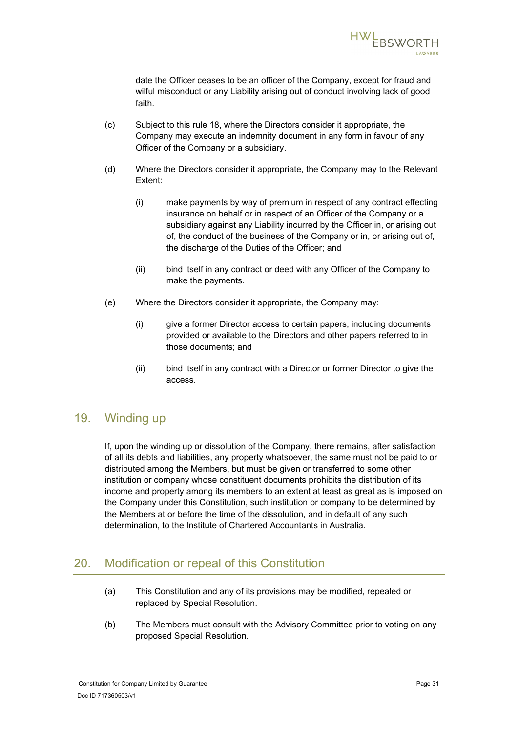

date the Officer ceases to be an officer of the Company, except for fraud and wilful misconduct or any Liability arising out of conduct involving lack of good faith.

- (c) Subject to this rule [18,](#page-33-0) where the Directors consider it appropriate, the Company may execute an indemnity document in any form in favour of any Officer of the Company or a subsidiary.
- (d) Where the Directors consider it appropriate, the Company may to the Relevant Extent:
	- (i) make payments by way of premium in respect of any contract effecting insurance on behalf or in respect of an Officer of the Company or a subsidiary against any Liability incurred by the Officer in, or arising out of, the conduct of the business of the Company or in, or arising out of, the discharge of the Duties of the Officer; and
	- (ii) bind itself in any contract or deed with any Officer of the Company to make the payments.
- (e) Where the Directors consider it appropriate, the Company may:
	- (i) give a former Director access to certain papers, including documents provided or available to the Directors and other papers referred to in those documents; and
	- (ii) bind itself in any contract with a Director or former Director to give the access.

## <span id="page-34-0"></span>19. Winding up

If, upon the winding up or dissolution of the Company, there remains, after satisfaction of all its debts and liabilities, any property whatsoever, the same must not be paid to or distributed among the Members, but must be given or transferred to some other institution or company whose constituent documents prohibits the distribution of its income and property among its members to an extent at least as great as is imposed on the Company under this Constitution, such institution or company to be determined by the Members at or before the time of the dissolution, and in default of any such determination, to the Institute of Chartered Accountants in Australia.

# <span id="page-34-1"></span>20. Modification or repeal of this Constitution

- (a) This Constitution and any of its provisions may be modified, repealed or replaced by Special Resolution.
- (b) The Members must consult with the Advisory Committee prior to voting on any proposed Special Resolution.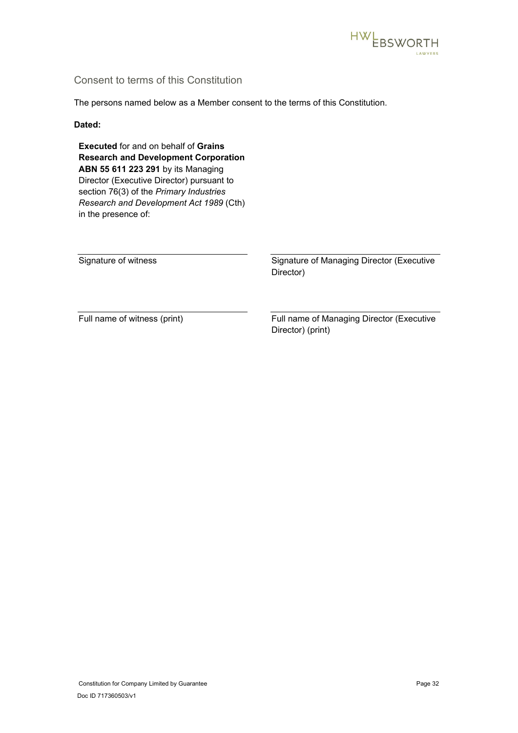

### Consent to terms of this Constitution

The persons named below as a Member consent to the terms of this Constitution.

### **Dated:**

**Executed** for and on behalf of **Grains Research and Development Corporation ABN 55 611 223 291** by its Managing Director (Executive Director) pursuant to section 76(3) of the *Primary Industries Research and Development Act 1989* (Cth) in the presence of:

Signature of witness Signature of Managing Director (Executive Director)

Full name of witness (print) Full name of Managing Director (Executive Director) (print)